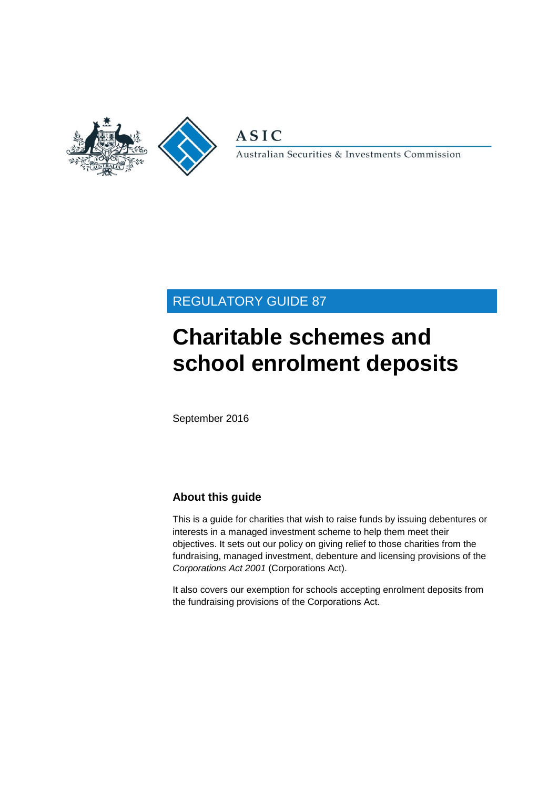

**ASIC** 

Australian Securities & Investments Commission

# REGULATORY GUIDE 87

# **Charitable schemes and school enrolment deposits**

September 2016

# **About this guide**

This is a guide for charities that wish to raise funds by issuing debentures or interests in a managed investment scheme to help them meet their objectives. It sets out our policy on giving relief to those charities from the fundraising, managed investment, debenture and licensing provisions of the *Corporations Act 2001* (Corporations Act).

It also covers our exemption for schools accepting enrolment deposits from the fundraising provisions of the Corporations Act.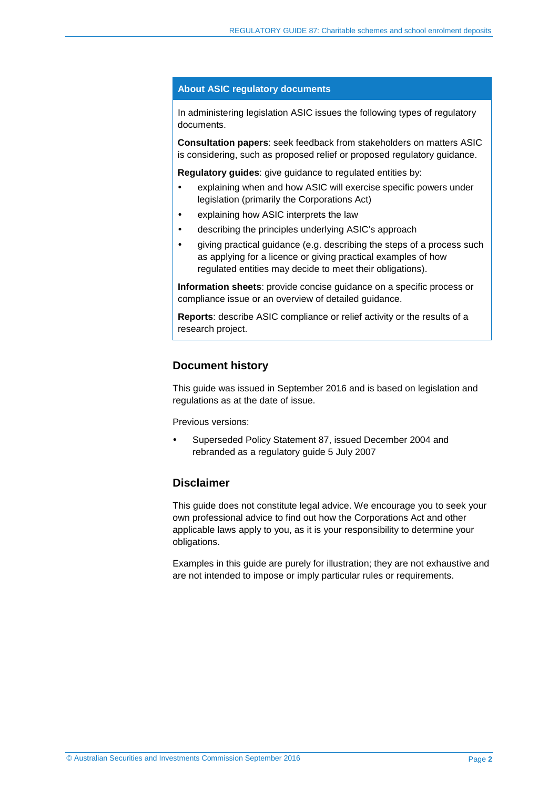#### **About ASIC regulatory documents**

In administering legislation ASIC issues the following types of regulatory documents.

**Consultation papers**: seek feedback from stakeholders on matters ASIC is considering, such as proposed relief or proposed regulatory guidance.

**Regulatory guides**: give guidance to regulated entities by:

- explaining when and how ASIC will exercise specific powers under legislation (primarily the Corporations Act)
- explaining how ASIC interprets the law
- describing the principles underlying ASIC's approach
- giving practical guidance (e.g. describing the steps of a process such as applying for a licence or giving practical examples of how regulated entities may decide to meet their obligations).

**Information sheets**: provide concise guidance on a specific process or compliance issue or an overview of detailed guidance.

**Reports**: describe ASIC compliance or relief activity or the results of a research project.

### **Document history**

This guide was issued in September 2016 and is based on legislation and regulations as at the date of issue.

Previous versions:

 Superseded Policy Statement 87, issued December 2004 and rebranded as a regulatory guide 5 July 2007

## **Disclaimer**

This guide does not constitute legal advice. We encourage you to seek your own professional advice to find out how the Corporations Act and other applicable laws apply to you, as it is your responsibility to determine your obligations.

Examples in this guide are purely for illustration; they are not exhaustive and are not intended to impose or imply particular rules or requirements.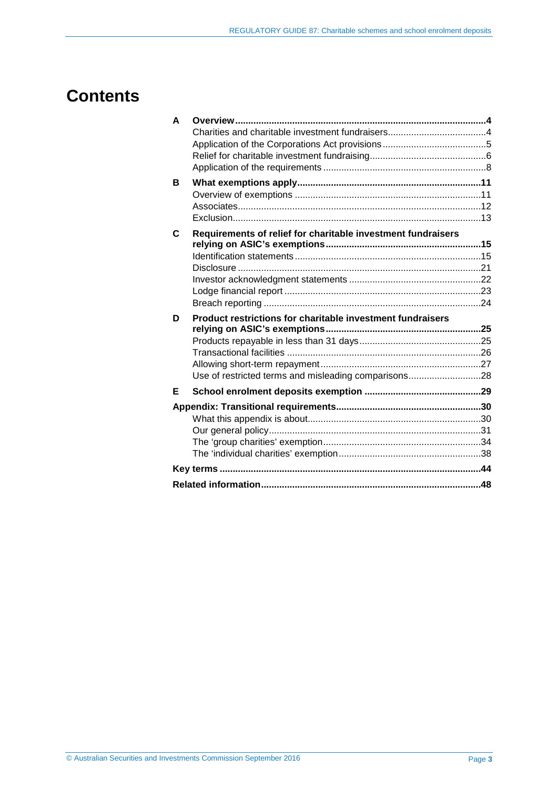# **Contents**

| A |                                                              |  |
|---|--------------------------------------------------------------|--|
|   |                                                              |  |
|   |                                                              |  |
|   |                                                              |  |
|   |                                                              |  |
| в |                                                              |  |
|   |                                                              |  |
|   |                                                              |  |
|   |                                                              |  |
| C | Requirements of relief for charitable investment fundraisers |  |
|   |                                                              |  |
|   |                                                              |  |
|   |                                                              |  |
|   |                                                              |  |
|   |                                                              |  |
|   |                                                              |  |
| D | Product restrictions for charitable investment fundraisers   |  |
|   |                                                              |  |
|   |                                                              |  |
|   |                                                              |  |
|   |                                                              |  |
|   | Use of restricted terms and misleading comparisons28         |  |
| Е |                                                              |  |
|   |                                                              |  |
|   |                                                              |  |
|   |                                                              |  |
|   |                                                              |  |
|   |                                                              |  |
|   |                                                              |  |
|   |                                                              |  |
|   |                                                              |  |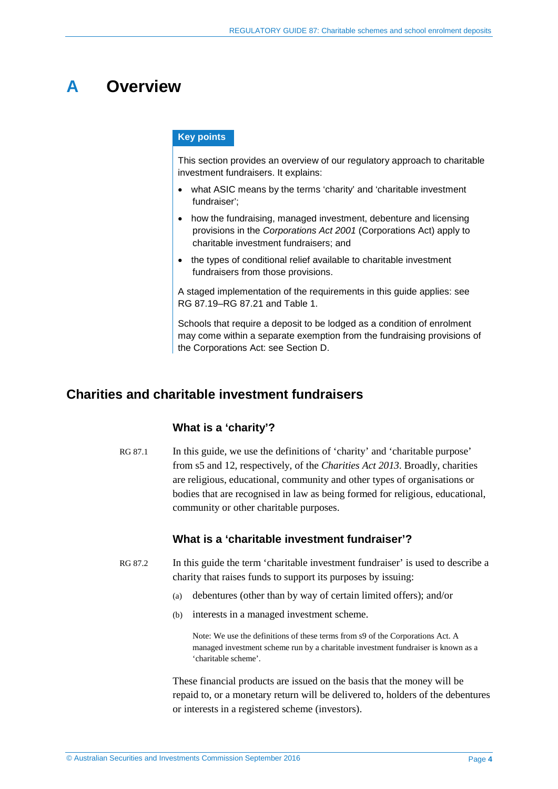# <span id="page-3-0"></span>**A Overview**

### **Key points**

This section provides an overview of our regulatory approach to charitable investment fundraisers. It explains:

- what ASIC means by the terms 'charity' and 'charitable investment fundraiser';
- how the fundraising, managed investment, debenture and licensing provisions in the *Corporations Act 2001* (Corporations Act) apply to charitable investment fundraisers; and
- the types of conditional relief available to charitable investment fundraisers from those provisions.

A staged implementation of the requirements in this guide applies: see RG [87.19–](#page-7-1)RG [87.21](#page-8-0) and [Table 1.](#page-8-1)

Schools that require a deposit to be lodged as a condition of enrolment may come within a separate exemption from the fundraising provisions of the Corporations Act: see Section [D.](#page-24-0)

# <span id="page-3-1"></span>**Charities and charitable investment fundraisers**

### **What is a 'charity'?**

RG 87.1 In this guide, we use the definitions of 'charity' and 'charitable purpose' from s5 and 12, respectively, of the *Charities Act 2013*. Broadly, charities are religious, educational, community and other types of organisations or bodies that are recognised in law as being formed for religious, educational, community or other charitable purposes.

## **What is a 'charitable investment fundraiser'?**

- RG 87.2 In this guide the term 'charitable investment fundraiser' is used to describe a charity that raises funds to support its purposes by issuing:
	- (a) debentures (other than by way of certain limited offers); and/or
	- (b) interests in a managed investment scheme.

Note: We use the definitions of these terms from s9 of the Corporations Act. A managed investment scheme run by a charitable investment fundraiser is known as a 'charitable scheme'.

These financial products are issued on the basis that the money will be repaid to, or a monetary return will be delivered to, holders of the debentures or interests in a registered scheme (investors).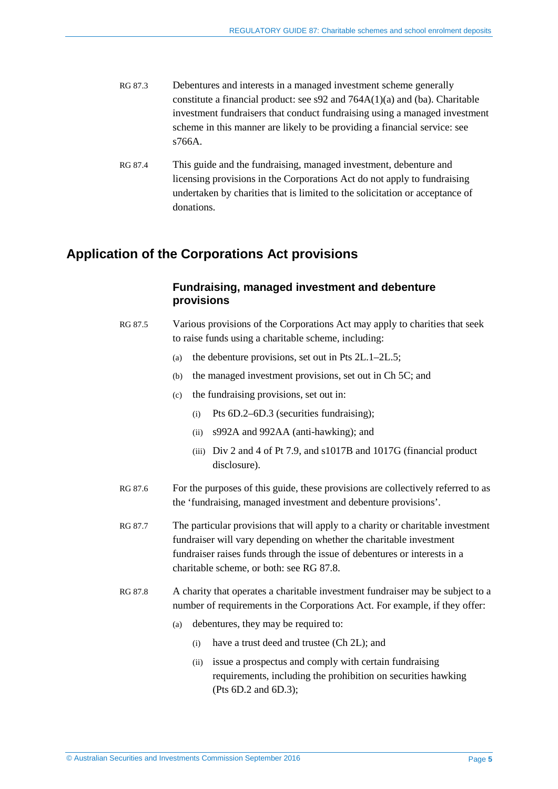- RG 87.3 Debentures and interests in a managed investment scheme generally constitute a financial product: see s92 and 764A(1)(a) and (ba). Charitable investment fundraisers that conduct fundraising using a managed investment scheme in this manner are likely to be providing a financial service: see s766A.
- RG 87.4 This guide and the fundraising, managed investment, debenture and licensing provisions in the Corporations Act do not apply to fundraising undertaken by charities that is limited to the solicitation or acceptance of donations.

# <span id="page-4-0"></span>**Application of the Corporations Act provisions**

## **Fundraising, managed investment and debenture provisions**

- RG 87.5 Various provisions of the Corporations Act may apply to charities that seek to raise funds using a charitable scheme, including:
	- (a) the debenture provisions, set out in Pts 2L.1–2L.5;
	- (b) the managed investment provisions, set out in Ch 5C; and
	- (c) the fundraising provisions, set out in:
		- (i) Pts 6D.2–6D.3 (securities fundraising);
		- (ii) s992A and 992AA (anti-hawking); and
		- (iii) Div 2 and 4 of Pt 7.9, and s1017B and 1017G (financial product disclosure).
- RG 87.6 For the purposes of this guide, these provisions are collectively referred to as the 'fundraising, managed investment and debenture provisions'.
- RG 87.7 The particular provisions that will apply to a charity or charitable investment fundraiser will vary depending on whether the charitable investment fundraiser raises funds through the issue of debentures or interests in a charitable scheme, or both: see [RG 87.8.](#page-4-1)
- <span id="page-4-1"></span>RG 87.8 A charity that operates a charitable investment fundraiser may be subject to a number of requirements in the Corporations Act. For example, if they offer:
	- (a) debentures, they may be required to:
		- (i) have a trust deed and trustee (Ch 2L); and
		- (ii) issue a prospectus and comply with certain fundraising requirements, including the prohibition on securities hawking (Pts 6D.2 and 6D.3);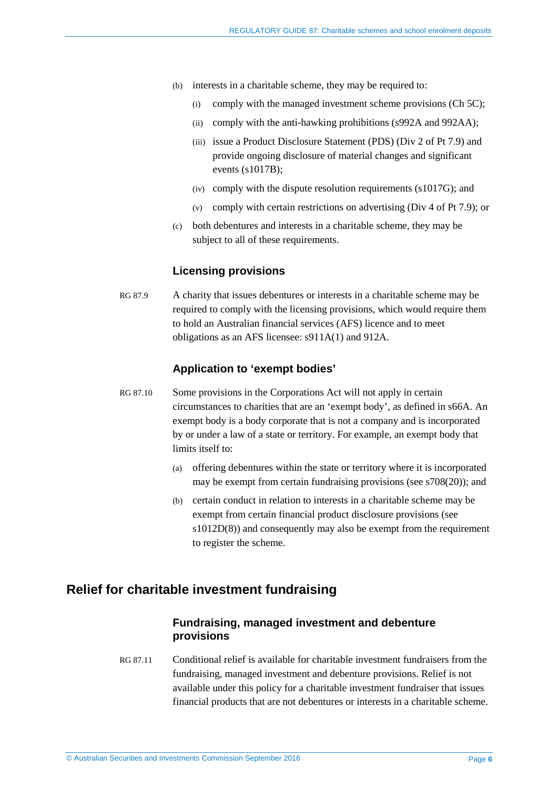- (b) interests in a charitable scheme, they may be required to:
	- (i) comply with the managed investment scheme provisions (Ch 5C);
	- (ii) comply with the anti-hawking prohibitions (s992A and 992AA);
	- (iii) issue a Product Disclosure Statement (PDS) (Div 2 of Pt 7.9) and provide ongoing disclosure of material changes and significant events (s1017B);
	- (iv) comply with the dispute resolution requirements (s1017G); and
	- (v) comply with certain restrictions on advertising (Div 4 of Pt 7.9); or
- (c) both debentures and interests in a charitable scheme, they may be subject to all of these requirements.

### **Licensing provisions**

RG 87.9 A charity that issues debentures or interests in a charitable scheme may be required to comply with the licensing provisions, which would require them to hold an Australian financial services (AFS) licence and to meet obligations as an AFS licensee: s911A(1) and 912A.

### **Application to 'exempt bodies'**

- RG 87.10 Some provisions in the Corporations Act will not apply in certain circumstances to charities that are an 'exempt body', as defined in s66A. An exempt body is a body corporate that is not a company and is incorporated by or under a law of a state or territory. For example, an exempt body that limits itself to:
	- (a) offering debentures within the state or territory where it is incorporated may be exempt from certain fundraising provisions (see s708(20)); and
	- (b) certain conduct in relation to interests in a charitable scheme may be exempt from certain financial product disclosure provisions (see s1012D(8)) and consequently may also be exempt from the requirement to register the scheme.

# <span id="page-5-0"></span>**Relief for charitable investment fundraising**

### **Fundraising, managed investment and debenture provisions**

RG 87.11 Conditional relief is available for charitable investment fundraisers from the fundraising, managed investment and debenture provisions. Relief is not available under this policy for a charitable investment fundraiser that issues financial products that are not debentures or interests in a charitable scheme.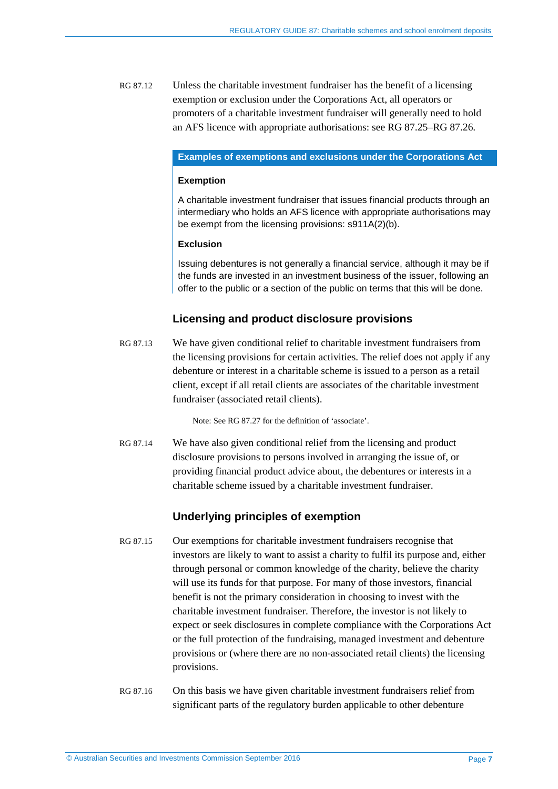RG 87.12 Unless the charitable investment fundraiser has the benefit of a licensing exemption or exclusion under the Corporations Act, all operators or promoters of a charitable investment fundraiser will generally need to hold an AFS licence with appropriate authorisations: se[e RG 87.25–](#page-10-2)[RG 87.26.](#page-11-1)

#### **Examples of exemptions and exclusions under the Corporations Act**

#### **Exemption**

A charitable investment fundraiser that issues financial products through an intermediary who holds an AFS licence with appropriate authorisations may be exempt from the licensing provisions: s911A(2)(b).

### **Exclusion**

Issuing debentures is not generally a financial service, although it may be if the funds are invested in an investment business of the issuer, following an offer to the public or a section of the public on terms that this will be done.

## **Licensing and product disclosure provisions**

RG 87.13 We have given conditional relief to charitable investment fundraisers from the licensing provisions for certain activities. The relief does not apply if any debenture or interest in a charitable scheme is issued to a person as a retail client, except if all retail clients are associates of the charitable investment fundraiser (associated retail clients).

Note: See [RG 87.27](#page-11-2) for the definition of 'associate'.

RG 87.14 We have also given conditional relief from the licensing and product disclosure provisions to persons involved in arranging the issue of, or providing financial product advice about, the debentures or interests in a charitable scheme issued by a charitable investment fundraiser.

## **Underlying principles of exemption**

- RG 87.15 Our exemptions for charitable investment fundraisers recognise that investors are likely to want to assist a charity to fulfil its purpose and, either through personal or common knowledge of the charity, believe the charity will use its funds for that purpose. For many of those investors, financial benefit is not the primary consideration in choosing to invest with the charitable investment fundraiser. Therefore, the investor is not likely to expect or seek disclosures in complete compliance with the Corporations Act or the full protection of the fundraising, managed investment and debenture provisions or (where there are no non-associated retail clients) the licensing provisions.
- RG 87.16 On this basis we have given charitable investment fundraisers relief from significant parts of the regulatory burden applicable to other debenture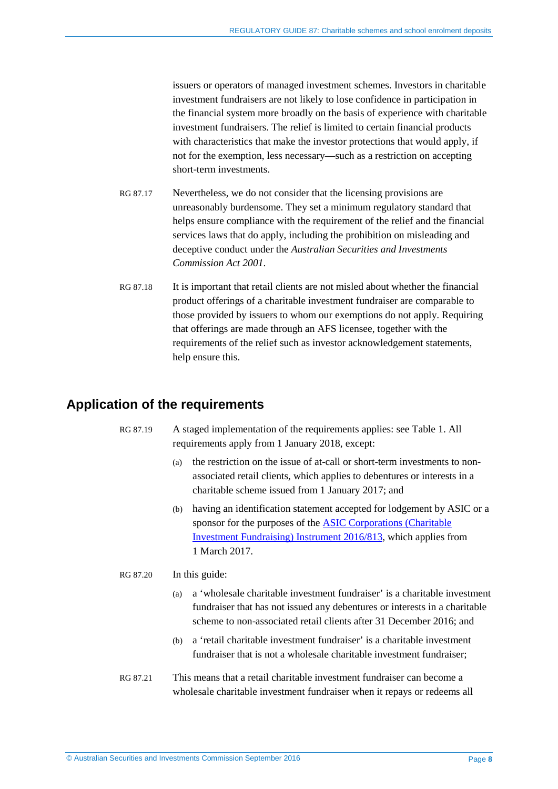issuers or operators of managed investment schemes. Investors in charitable investment fundraisers are not likely to lose confidence in participation in the financial system more broadly on the basis of experience with charitable investment fundraisers. The relief is limited to certain financial products with characteristics that make the investor protections that would apply, if not for the exemption, less necessary—such as a restriction on accepting short-term investments.

- RG 87.17 Nevertheless, we do not consider that the licensing provisions are unreasonably burdensome. They set a minimum regulatory standard that helps ensure compliance with the requirement of the relief and the financial services laws that do apply, including the prohibition on misleading and deceptive conduct under the *Australian Securities and Investments Commission Act 2001*.
- RG 87.18 It is important that retail clients are not misled about whether the financial product offerings of a charitable investment fundraiser are comparable to those provided by issuers to whom our exemptions do not apply. Requiring that offerings are made through an AFS licensee, together with the requirements of the relief such as investor acknowledgement statements, help ensure this.

# <span id="page-7-1"></span><span id="page-7-0"></span>**Application of the requirements**

### RG 87.19 A staged implementation of the requirements applies: see [Table 1.](#page-8-1) All requirements apply from 1 January 2018, except:

- (a) the restriction on the issue of at-call or short-term investments to nonassociated retail clients, which applies to debentures or interests in a charitable scheme issued from 1 January 2017; and
- (b) having an identification statement accepted for lodgement by ASIC or a sponsor for the purposes of the [ASIC Corporations \(Charitable](http://www.asic.gov.au/regulatory-resources/find-a-document/class-orders/2016-legislative-instruments/)  [Investment Fundraising\) Instrument 2016/813,](http://www.asic.gov.au/regulatory-resources/find-a-document/class-orders/2016-legislative-instruments/) which applies from 1 March 2017.

### RG 87.20 In this guide:

- (a) a 'wholesale charitable investment fundraiser' is a charitable investment fundraiser that has not issued any debentures or interests in a charitable scheme to non-associated retail clients after 31 December 2016; and
- (b) a 'retail charitable investment fundraiser' is a charitable investment fundraiser that is not a wholesale charitable investment fundraiser;
- RG 87.21 This means that a retail charitable investment fundraiser can become a wholesale charitable investment fundraiser when it repays or redeems all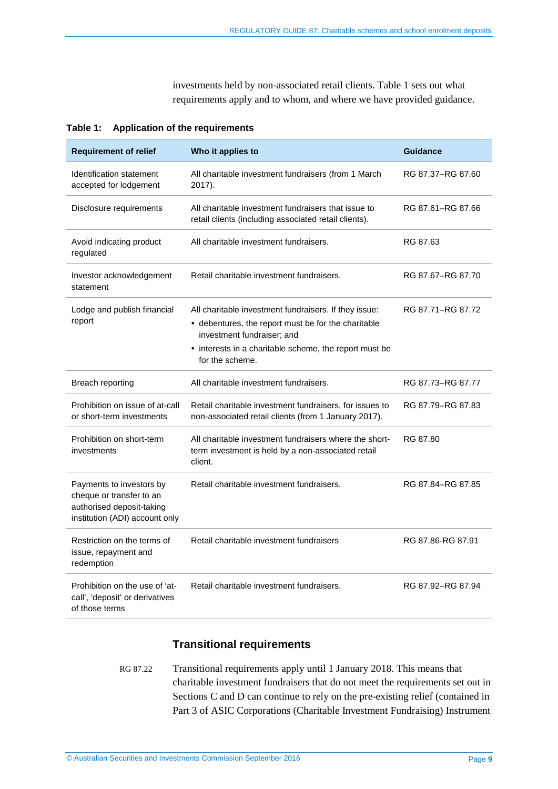<span id="page-8-0"></span>investments held by non-associated retail clients. [Table 1](#page-8-1) sets out what requirements apply and to whom, and where we have provided guidance.

<span id="page-8-1"></span>

| Table 1: |  | <b>Application of the requirements</b> |
|----------|--|----------------------------------------|
|----------|--|----------------------------------------|

| <b>Requirement of relief</b>                                                                                        | Who it applies to                                                                                                                          | <b>Guidance</b>   |
|---------------------------------------------------------------------------------------------------------------------|--------------------------------------------------------------------------------------------------------------------------------------------|-------------------|
| Identification statement<br>accepted for lodgement                                                                  | All charitable investment fundraisers (from 1 March<br>2017).                                                                              | RG 87.37-RG 87.60 |
| Disclosure requirements                                                                                             | All charitable investment fundraisers that issue to<br>retail clients (including associated retail clients).                               | RG 87.61-RG 87.66 |
| Avoid indicating product<br>regulated                                                                               | All charitable investment fundraisers.                                                                                                     | RG 87.63          |
| Investor acknowledgement<br>statement                                                                               | Retail charitable investment fundraisers.                                                                                                  | RG 87.67-RG 87.70 |
| Lodge and publish financial<br>report                                                                               | All charitable investment fundraisers. If they issue:<br>• debentures, the report must be for the charitable<br>investment fundraiser; and | RG 87.71-RG 87.72 |
|                                                                                                                     | • interests in a charitable scheme, the report must be<br>for the scheme.                                                                  |                   |
| Breach reporting                                                                                                    | All charitable investment fundraisers.                                                                                                     | RG 87.73-RG 87.77 |
| Prohibition on issue of at-call<br>or short-term investments                                                        | Retail charitable investment fundraisers, for issues to<br>non-associated retail clients (from 1 January 2017).                            | RG 87.79–RG 87.83 |
| Prohibition on short-term<br>investments                                                                            | All charitable investment fundraisers where the short-<br>term investment is held by a non-associated retail<br>client.                    | RG 87.80          |
| Payments to investors by<br>cheque or transfer to an<br>authorised deposit-taking<br>institution (ADI) account only | Retail charitable investment fundraisers.                                                                                                  | RG 87.84-RG 87.85 |
| Restriction on the terms of<br>issue, repayment and<br>redemption                                                   | Retail charitable investment fundraisers                                                                                                   | RG 87.86-RG 87.91 |
| Prohibition on the use of 'at-<br>call', 'deposit' or derivatives<br>of those terms                                 | Retail charitable investment fundraisers.                                                                                                  | RG 87.92-RG 87.94 |

### **Transitional requirements**

RG 87.22 Transitional requirements apply until 1 January 2018. This means that charitable investment fundraisers that do not meet the requirements set out in Sections [C](#page-14-0) and [D](#page-24-0) can continue to rely on the pre-existing relief (contained in Part 3 of ASIC Corporations (Charitable Investment Fundraising) Instrument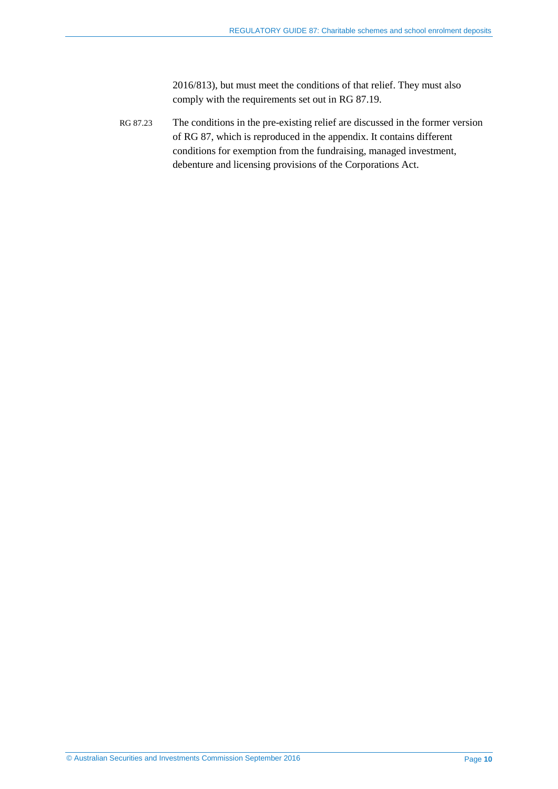2016/813), but must meet the conditions of that relief. They must also comply with the requirements set out in [RG 87.19.](#page-7-1)

RG 87.23 The conditions in the pre-existing relief are discussed in the former version of RG 87, which is reproduced in the appendix. It contains different conditions for exemption from the fundraising, managed investment, debenture and licensing provisions of the Corporations Act.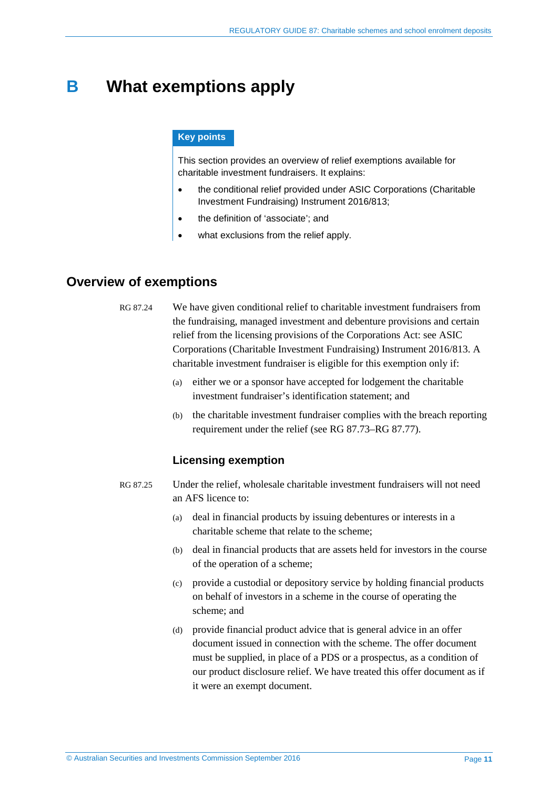# <span id="page-10-0"></span>**B What exemptions apply**

### **Key points**

This section provides an overview of relief exemptions available for charitable investment fundraisers. It explains:

- the conditional relief provided under ASIC Corporations (Charitable Investment Fundraising) Instrument 2016/813;
- the definition of 'associate'; and
- what exclusions from the relief apply.

# <span id="page-10-1"></span>**Overview of exemptions**

RG 87.24 We have given conditional relief to charitable investment fundraisers from the fundraising, managed investment and debenture provisions and certain relief from the licensing provisions of the Corporations Act: see ASIC Corporations (Charitable Investment Fundraising) Instrument 2016/813. A charitable investment fundraiser is eligible for this exemption only if:

- (a) either we or a sponsor have accepted for lodgement the charitable investment fundraiser's identification statement; and
- (b) the charitable investment fundraiser complies with the breach reporting requirement under the relief (see [RG 87.73–](#page-23-2)[RG 87.77\)](#page-23-3).

### **Licensing exemption**

- <span id="page-10-2"></span>RG 87.25 Under the relief, wholesale charitable investment fundraisers will not need an AFS licence to:
	- (a) deal in financial products by issuing debentures or interests in a charitable scheme that relate to the scheme;
	- (b) deal in financial products that are assets held for investors in the course of the operation of a scheme;
	- (c) provide a custodial or depository service by holding financial products on behalf of investors in a scheme in the course of operating the scheme; and
	- (d) provide financial product advice that is general advice in an offer document issued in connection with the scheme. The offer document must be supplied, in place of a PDS or a prospectus, as a condition of our product disclosure relief. We have treated this offer document as if it were an exempt document.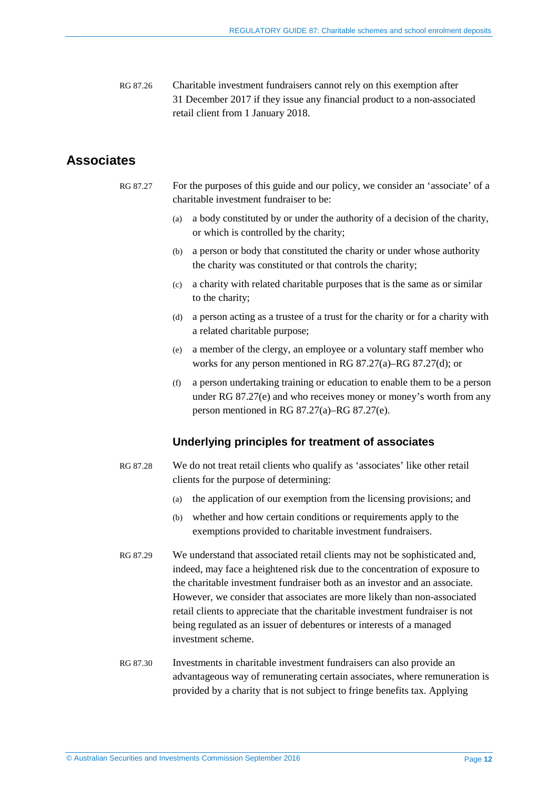<span id="page-11-1"></span>RG 87.26 Charitable investment fundraisers cannot rely on this exemption after 31 December 2017 if they issue any financial product to a non-associated retail client from 1 January 2018.

# <span id="page-11-3"></span><span id="page-11-2"></span><span id="page-11-0"></span>**Associates**

- <span id="page-11-4"></span>RG 87.27 For the purposes of this guide and our policy, we consider an 'associate' of a charitable investment fundraiser to be:
	- (a) a body constituted by or under the authority of a decision of the charity, or which is controlled by the charity;
	- (b) a person or body that constituted the charity or under whose authority the charity was constituted or that controls the charity;
	- (c) a charity with related charitable purposes that is the same as or similar to the charity;
	- (d) a person acting as a trustee of a trust for the charity or for a charity with a related charitable purpose;
	- (e) a member of the clergy, an employee or a voluntary staff member who works for any person mentioned in [RG 87.27\(a\)](#page-11-3)[–RG 87.27\(d\);](#page-11-4) or
	- (f) a person undertaking training or education to enable them to be a person under [RG 87.27\(e\)](#page-11-5) and who receives money or money's worth from any person mentioned in [RG 87.27\(a\)](#page-11-3)[–RG 87.27\(e\).](#page-11-5)

### **Underlying principles for treatment of associates**

- <span id="page-11-5"></span>RG 87.28 We do not treat retail clients who qualify as 'associates' like other retail clients for the purpose of determining:
	- (a) the application of our exemption from the licensing provisions; and
	- (b) whether and how certain conditions or requirements apply to the exemptions provided to charitable investment fundraisers.
- RG 87.29 We understand that associated retail clients may not be sophisticated and, indeed, may face a heightened risk due to the concentration of exposure to the charitable investment fundraiser both as an investor and an associate. However, we consider that associates are more likely than non-associated retail clients to appreciate that the charitable investment fundraiser is not being regulated as an issuer of debentures or interests of a managed investment scheme.
- RG 87.30 Investments in charitable investment fundraisers can also provide an advantageous way of remunerating certain associates, where remuneration is provided by a charity that is not subject to fringe benefits tax. Applying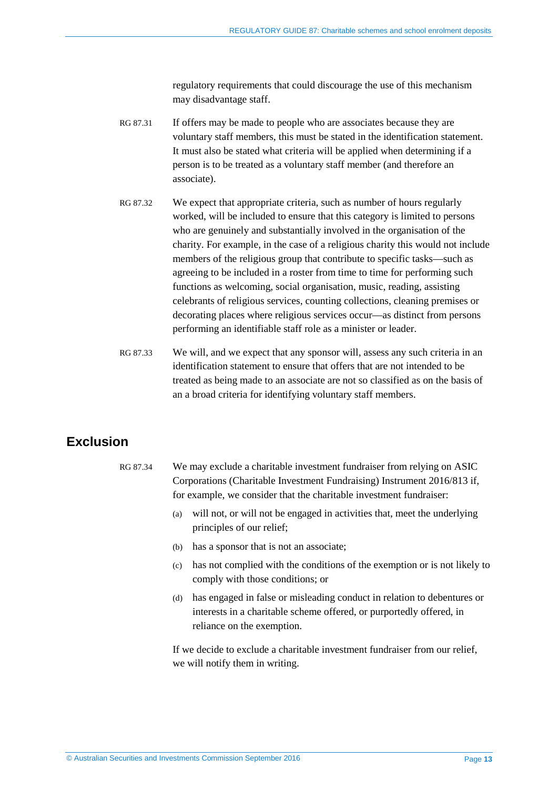regulatory requirements that could discourage the use of this mechanism may disadvantage staff.

- RG 87.31 If offers may be made to people who are associates because they are voluntary staff members, this must be stated in the identification statement. It must also be stated what criteria will be applied when determining if a person is to be treated as a voluntary staff member (and therefore an associate).
- RG 87.32 We expect that appropriate criteria, such as number of hours regularly worked, will be included to ensure that this category is limited to persons who are genuinely and substantially involved in the organisation of the charity. For example, in the case of a religious charity this would not include members of the religious group that contribute to specific tasks—such as agreeing to be included in a roster from time to time for performing such functions as welcoming, social organisation, music, reading, assisting celebrants of religious services, counting collections, cleaning premises or decorating places where religious services occur—as distinct from persons performing an identifiable staff role as a minister or leader.
- RG 87.33 We will, and we expect that any sponsor will, assess any such criteria in an identification statement to ensure that offers that are not intended to be treated as being made to an associate are not so classified as on the basis of an a broad criteria for identifying voluntary staff members.

# <span id="page-12-0"></span>**Exclusion**

- RG 87.34 We may exclude a charitable investment fundraiser from relying on ASIC Corporations (Charitable Investment Fundraising) Instrument 2016/813 if, for example, we consider that the charitable investment fundraiser:
	- (a) will not, or will not be engaged in activities that, meet the underlying principles of our relief;
	- (b) has a sponsor that is not an associate;
	- (c) has not complied with the conditions of the exemption or is not likely to comply with those conditions; or
	- (d) has engaged in false or misleading conduct in relation to debentures or interests in a charitable scheme offered, or purportedly offered, in reliance on the exemption.

If we decide to exclude a charitable investment fundraiser from our relief, we will notify them in writing.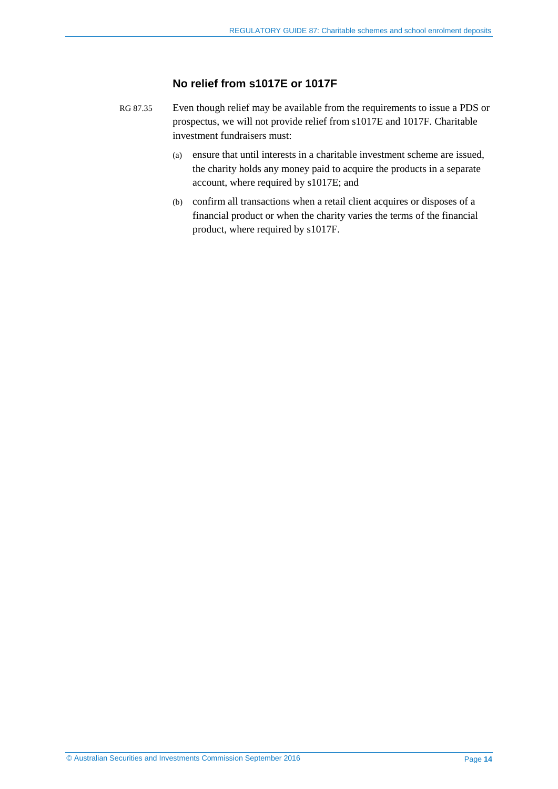## **No relief from s1017E or 1017F**

- RG 87.35 Even though relief may be available from the requirements to issue a PDS or prospectus, we will not provide relief from s1017E and 1017F. Charitable investment fundraisers must:
	- (a) ensure that until interests in a charitable investment scheme are issued, the charity holds any money paid to acquire the products in a separate account, where required by s1017E; and
	- (b) confirm all transactions when a retail client acquires or disposes of a financial product or when the charity varies the terms of the financial product, where required by s1017F.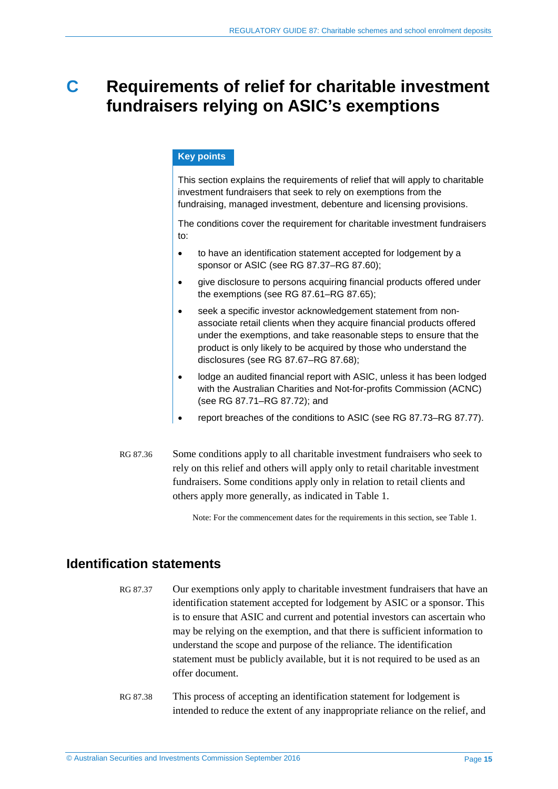# <span id="page-14-0"></span>**C Requirements of relief for charitable investment fundraisers relying on ASIC's exemptions**

### **Key points**

This section explains the requirements of relief that will apply to charitable investment fundraisers that seek to rely on exemptions from the fundraising, managed investment, debenture and licensing provisions.

The conditions cover the requirement for charitable investment fundraisers to:

- to have an identification statement accepted for lodgement by a sponsor or ASIC (see RG [87.37–](#page-14-2)RG [87.60\)](#page-20-1);
- give disclosure to persons acquiring financial products offered under the exemptions (see RG [87.61–](#page-20-2)RG [87.65\)](#page-21-3);
- seek a specific investor acknowledgement statement from nonassociate retail clients when they acquire financial products offered under the exemptions, and take reasonable steps to ensure that the product is only likely to be acquired by those who understand the disclosures (see RG [87.67–](#page-21-2)RG [87.68\)](#page-22-3);
- lodge an audited financial report with ASIC, unless it has been lodged with the Australian Charities and Not-for-profits Commission (ACNC) (see RG [87.71–](#page-22-2)RG [87.72\)](#page-23-1); and
- report breaches of the conditions to ASIC (see RG [87.73–](#page-23-2)RG [87.77\)](#page-23-3).
- RG 87.36 Some conditions apply to all charitable investment fundraisers who seek to rely on this relief and others will apply only to retail charitable investment fundraisers. Some conditions apply only in relation to retail clients and others apply more generally, as indicated in [Table 1.](#page-8-1)

Note: For the commencement dates for the requirements in this section, se[e Table 1.](#page-8-1) 

# <span id="page-14-2"></span><span id="page-14-1"></span>**Identification statements**

- RG 87.37 Our exemptions only apply to charitable investment fundraisers that have an identification statement accepted for lodgement by ASIC or a sponsor. This is to ensure that ASIC and current and potential investors can ascertain who may be relying on the exemption, and that there is sufficient information to understand the scope and purpose of the reliance. The identification statement must be publicly available, but it is not required to be used as an offer document.
- RG 87.38 This process of accepting an identification statement for lodgement is intended to reduce the extent of any inappropriate reliance on the relief, and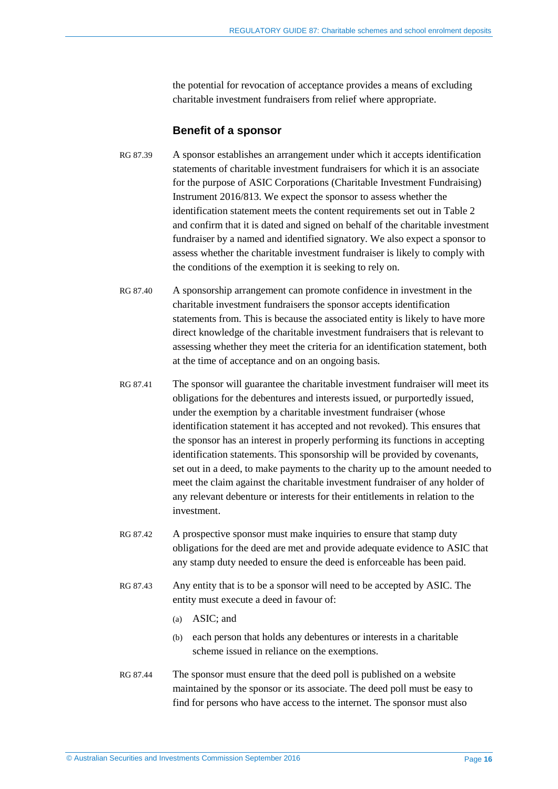the potential for revocation of acceptance provides a means of excluding charitable investment fundraisers from relief where appropriate.

### **Benefit of a sponsor**

- RG 87.39 A sponsor establishes an arrangement under which it accepts identification statements of charitable investment fundraisers for which it is an associate for the purpose of ASIC Corporations (Charitable Investment Fundraising) Instrument 2016/813. We expect the sponsor to assess whether the identification statement meets the content requirements set out in [Table 2](#page-17-0) and confirm that it is dated and signed on behalf of the charitable investment fundraiser by a named and identified signatory. We also expect a sponsor to assess whether the charitable investment fundraiser is likely to comply with the conditions of the exemption it is seeking to rely on.
- RG 87.40 A sponsorship arrangement can promote confidence in investment in the charitable investment fundraisers the sponsor accepts identification statements from. This is because the associated entity is likely to have more direct knowledge of the charitable investment fundraisers that is relevant to assessing whether they meet the criteria for an identification statement, both at the time of acceptance and on an ongoing basis.
- RG 87.41 The sponsor will guarantee the charitable investment fundraiser will meet its obligations for the debentures and interests issued, or purportedly issued, under the exemption by a charitable investment fundraiser (whose identification statement it has accepted and not revoked). This ensures that the sponsor has an interest in properly performing its functions in accepting identification statements. This sponsorship will be provided by covenants, set out in a deed, to make payments to the charity up to the amount needed to meet the claim against the charitable investment fundraiser of any holder of any relevant debenture or interests for their entitlements in relation to the investment.
- RG 87.42 A prospective sponsor must make inquiries to ensure that stamp duty obligations for the deed are met and provide adequate evidence to ASIC that any stamp duty needed to ensure the deed is enforceable has been paid.
- RG 87.43 Any entity that is to be a sponsor will need to be accepted by ASIC. The entity must execute a deed in favour of:
	- (a) ASIC; and
	- (b) each person that holds any debentures or interests in a charitable scheme issued in reliance on the exemptions.
- RG 87.44 The sponsor must ensure that the deed poll is published on a website maintained by the sponsor or its associate. The deed poll must be easy to find for persons who have access to the internet. The sponsor must also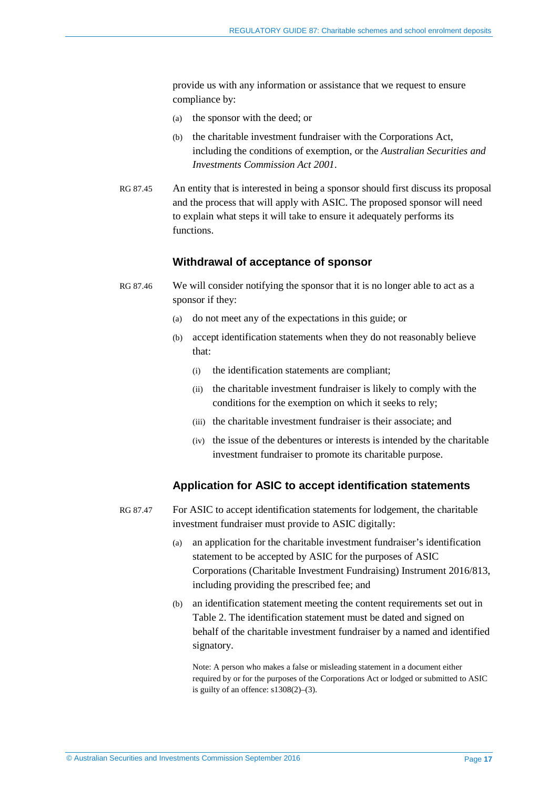provide us with any information or assistance that we request to ensure compliance by:

- (a) the sponsor with the deed; or
- (b) the charitable investment fundraiser with the Corporations Act, including the conditions of exemption, or the *Australian Securities and Investments Commission Act 2001*.
- RG 87.45 An entity that is interested in being a sponsor should first discuss its proposal and the process that will apply with ASIC. The proposed sponsor will need to explain what steps it will take to ensure it adequately performs its functions.

### **Withdrawal of acceptance of sponsor**

- RG 87.46 We will consider notifying the sponsor that it is no longer able to act as a sponsor if they:
	- (a) do not meet any of the expectations in this guide; or
	- (b) accept identification statements when they do not reasonably believe that:
		- (i) the identification statements are compliant;
		- (ii) the charitable investment fundraiser is likely to comply with the conditions for the exemption on which it seeks to rely;
		- (iii) the charitable investment fundraiser is their associate; and
		- (iv) the issue of the debentures or interests is intended by the charitable investment fundraiser to promote its charitable purpose.

## **Application for ASIC to accept identification statements**

- RG 87.47 For ASIC to accept identification statements for lodgement, the charitable investment fundraiser must provide to ASIC digitally:
	- (a) an application for the charitable investment fundraiser's identification statement to be accepted by ASIC for the purposes of ASIC Corporations (Charitable Investment Fundraising) Instrument 2016/813, including providing the prescribed fee; and
	- (b) an identification statement meeting the content requirements set out in [Table 2.](#page-17-0) The identification statement must be dated and signed on behalf of the charitable investment fundraiser by a named and identified signatory.

Note: A person who makes a false or misleading statement in a document either required by or for the purposes of the Corporations Act or lodged or submitted to ASIC is guilty of an offence:  $s1308(2)$ –(3).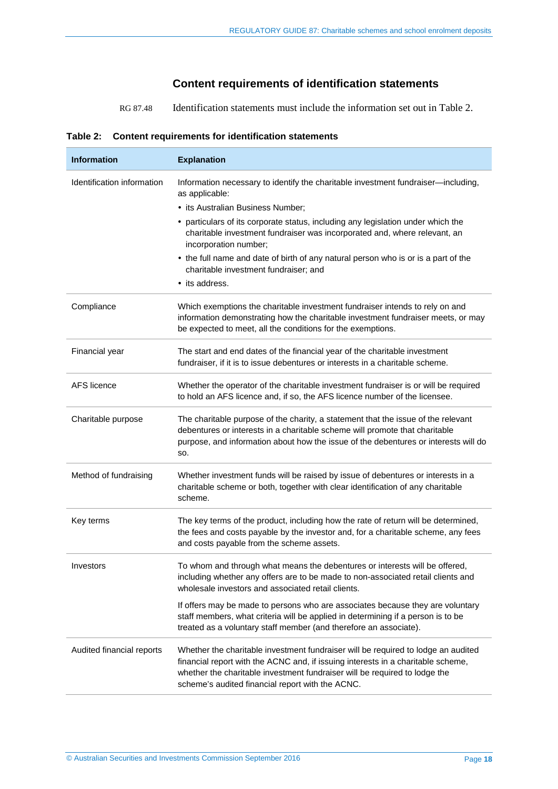# **Content requirements of identification statements**

RG 87.48 Identification statements must include the information set out i[n Table 2.](#page-17-0)

<span id="page-17-0"></span>

|  | Table 2: Content requirements for identification statements |
|--|-------------------------------------------------------------|
|--|-------------------------------------------------------------|

| <b>Information</b>         | <b>Explanation</b>                                                                                                                                                                                                                                                                                      |
|----------------------------|---------------------------------------------------------------------------------------------------------------------------------------------------------------------------------------------------------------------------------------------------------------------------------------------------------|
| Identification information | Information necessary to identify the charitable investment fundraiser-including,<br>as applicable:                                                                                                                                                                                                     |
|                            | • its Australian Business Number;                                                                                                                                                                                                                                                                       |
|                            | • particulars of its corporate status, including any legislation under which the<br>charitable investment fundraiser was incorporated and, where relevant, an<br>incorporation number;                                                                                                                  |
|                            | • the full name and date of birth of any natural person who is or is a part of the<br>charitable investment fundraiser; and                                                                                                                                                                             |
|                            | • its address.                                                                                                                                                                                                                                                                                          |
| Compliance                 | Which exemptions the charitable investment fundraiser intends to rely on and<br>information demonstrating how the charitable investment fundraiser meets, or may<br>be expected to meet, all the conditions for the exemptions.                                                                         |
| Financial year             | The start and end dates of the financial year of the charitable investment<br>fundraiser, if it is to issue debentures or interests in a charitable scheme.                                                                                                                                             |
| <b>AFS</b> licence         | Whether the operator of the charitable investment fundraiser is or will be required<br>to hold an AFS licence and, if so, the AFS licence number of the licensee.                                                                                                                                       |
| Charitable purpose         | The charitable purpose of the charity, a statement that the issue of the relevant<br>debentures or interests in a charitable scheme will promote that charitable<br>purpose, and information about how the issue of the debentures or interests will do<br>SO.                                          |
| Method of fundraising      | Whether investment funds will be raised by issue of debentures or interests in a<br>charitable scheme or both, together with clear identification of any charitable<br>scheme.                                                                                                                          |
| Key terms                  | The key terms of the product, including how the rate of return will be determined,<br>the fees and costs payable by the investor and, for a charitable scheme, any fees<br>and costs payable from the scheme assets.                                                                                    |
| Investors                  | To whom and through what means the debentures or interests will be offered,<br>including whether any offers are to be made to non-associated retail clients and<br>wholesale investors and associated retail clients.                                                                                   |
|                            | If offers may be made to persons who are associates because they are voluntary<br>staff members, what criteria will be applied in determining if a person is to be<br>treated as a voluntary staff member (and therefore an associate).                                                                 |
| Audited financial reports  | Whether the charitable investment fundraiser will be required to lodge an audited<br>financial report with the ACNC and, if issuing interests in a charitable scheme,<br>whether the charitable investment fundraiser will be required to lodge the<br>scheme's audited financial report with the ACNC. |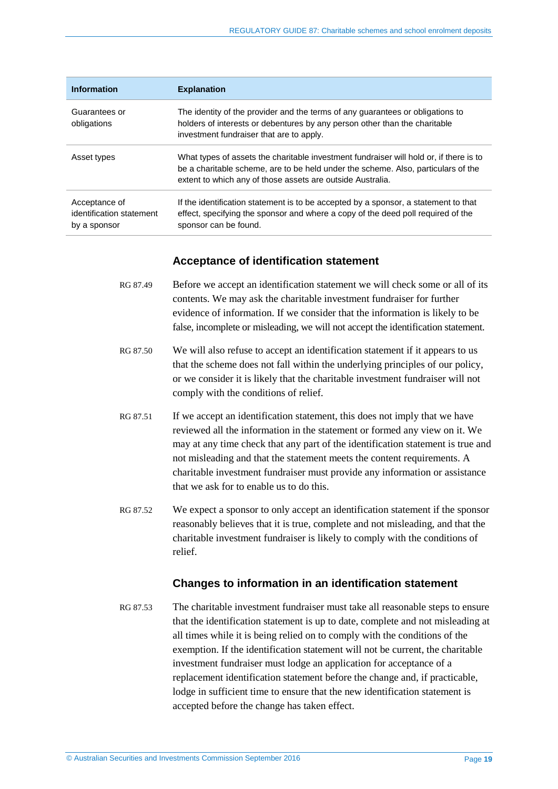| <b>Information</b>                                        | <b>Explanation</b>                                                                                                                                                                                                                        |
|-----------------------------------------------------------|-------------------------------------------------------------------------------------------------------------------------------------------------------------------------------------------------------------------------------------------|
| Guarantees or<br>obligations                              | The identity of the provider and the terms of any guarantees or obligations to<br>holders of interests or debentures by any person other than the charitable<br>investment fundraiser that are to apply.                                  |
| Asset types                                               | What types of assets the charitable investment fundraiser will hold or, if there is to<br>be a charitable scheme, are to be held under the scheme. Also, particulars of the<br>extent to which any of those assets are outside Australia. |
| Acceptance of<br>identification statement<br>by a sponsor | If the identification statement is to be accepted by a sponsor, a statement to that<br>effect, specifying the sponsor and where a copy of the deed poll required of the<br>sponsor can be found.                                          |

### **Acceptance of identification statement**

- RG 87.49 Before we accept an identification statement we will check some or all of its contents. We may ask the charitable investment fundraiser for further evidence of information. If we consider that the information is likely to be false, incomplete or misleading, we will not accept the identification statement.
- RG 87.50 We will also refuse to accept an identification statement if it appears to us that the scheme does not fall within the underlying principles of our policy, or we consider it is likely that the charitable investment fundraiser will not comply with the conditions of relief.
- RG 87.51 If we accept an identification statement, this does not imply that we have reviewed all the information in the statement or formed any view on it. We may at any time check that any part of the identification statement is true and not misleading and that the statement meets the content requirements. A charitable investment fundraiser must provide any information or assistance that we ask for to enable us to do this.
- RG 87.52 We expect a sponsor to only accept an identification statement if the sponsor reasonably believes that it is true, complete and not misleading, and that the charitable investment fundraiser is likely to comply with the conditions of relief.

### **Changes to information in an identification statement**

RG 87.53 The charitable investment fundraiser must take all reasonable steps to ensure that the identification statement is up to date, complete and not misleading at all times while it is being relied on to comply with the conditions of the exemption. If the identification statement will not be current, the charitable investment fundraiser must lodge an application for acceptance of a replacement identification statement before the change and, if practicable, lodge in sufficient time to ensure that the new identification statement is accepted before the change has taken effect.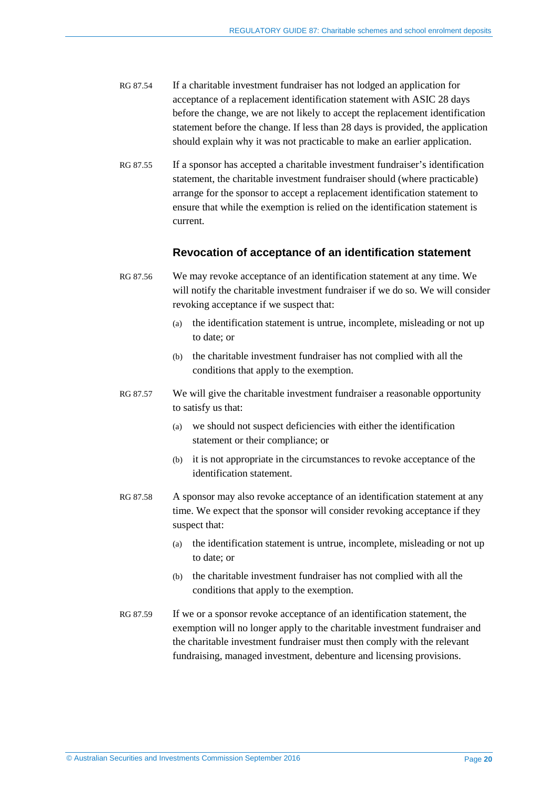- RG 87.54 If a charitable investment fundraiser has not lodged an application for acceptance of a replacement identification statement with ASIC 28 days before the change, we are not likely to accept the replacement identification statement before the change. If less than 28 days is provided, the application should explain why it was not practicable to make an earlier application.
- RG 87.55 If a sponsor has accepted a charitable investment fundraiser's identification statement, the charitable investment fundraiser should (where practicable) arrange for the sponsor to accept a replacement identification statement to ensure that while the exemption is relied on the identification statement is current.

### **Revocation of acceptance of an identification statement**

- RG 87.56 We may revoke acceptance of an identification statement at any time. We will notify the charitable investment fundraiser if we do so. We will consider revoking acceptance if we suspect that:
	- (a) the identification statement is untrue, incomplete, misleading or not up to date; or
	- (b) the charitable investment fundraiser has not complied with all the conditions that apply to the exemption.
- RG 87.57 We will give the charitable investment fundraiser a reasonable opportunity to satisfy us that:
	- (a) we should not suspect deficiencies with either the identification statement or their compliance; or
	- (b) it is not appropriate in the circumstances to revoke acceptance of the identification statement.
- RG 87.58 A sponsor may also revoke acceptance of an identification statement at any time. We expect that the sponsor will consider revoking acceptance if they suspect that:
	- (a) the identification statement is untrue, incomplete, misleading or not up to date; or
	- (b) the charitable investment fundraiser has not complied with all the conditions that apply to the exemption.
- RG 87.59 If we or a sponsor revoke acceptance of an identification statement, the exemption will no longer apply to the charitable investment fundraiser and the charitable investment fundraiser must then comply with the relevant fundraising, managed investment, debenture and licensing provisions.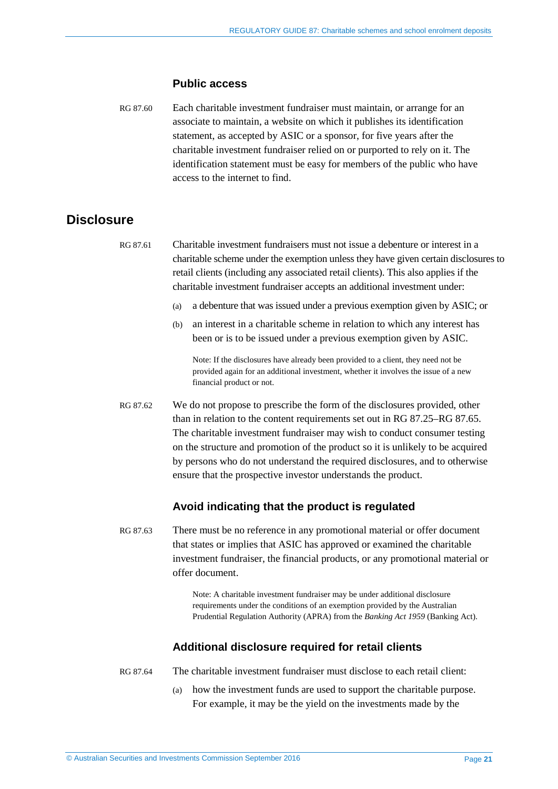#### **Public access**

<span id="page-20-1"></span>RG 87.60 Each charitable investment fundraiser must maintain, or arrange for an associate to maintain, a website on which it publishes its identification statement, as accepted by ASIC or a sponsor, for five years after the charitable investment fundraiser relied on or purported to rely on it. The identification statement must be easy for members of the public who have access to the internet to find.

# <span id="page-20-0"></span>**Disclosure**

<span id="page-20-2"></span>RG 87.61 Charitable investment fundraisers must not issue a debenture or interest in a charitable scheme under the exemption unless they have given certain disclosures to retail clients (including any associated retail clients). This also applies if the charitable investment fundraiser accepts an additional investment under:

- (a) a debenture that was issued under a previous exemption given by ASIC; or
- (b) an interest in a charitable scheme in relation to which any interest has been or is to be issued under a previous exemption given by ASIC.

Note: If the disclosures have already been provided to a client, they need not be provided again for an additional investment, whether it involves the issue of a new financial product or not.

RG 87.62 We do not propose to prescribe the form of the disclosures provided, other than in relation to the content requirements set out i[n RG 87.25–](#page-10-2)[RG 87.65.](#page-21-3) The charitable investment fundraiser may wish to conduct consumer testing on the structure and promotion of the product so it is unlikely to be acquired by persons who do not understand the required disclosures, and to otherwise ensure that the prospective investor understands the product.

### **Avoid indicating that the product is regulated**

<span id="page-20-3"></span>RG 87.63 There must be no reference in any promotional material or offer document that states or implies that ASIC has approved or examined the charitable investment fundraiser, the financial products, or any promotional material or offer document.

> Note: A charitable investment fundraiser may be under additional disclosure requirements under the conditions of an exemption provided by the Australian Prudential Regulation Authority (APRA) from the *Banking Act 1959* (Banking Act).

### **Additional disclosure required for retail clients**

<span id="page-20-4"></span>

- RG 87.64 The charitable investment fundraiser must disclose to each retail client:
	- (a) how the investment funds are used to support the charitable purpose. For example, it may be the yield on the investments made by the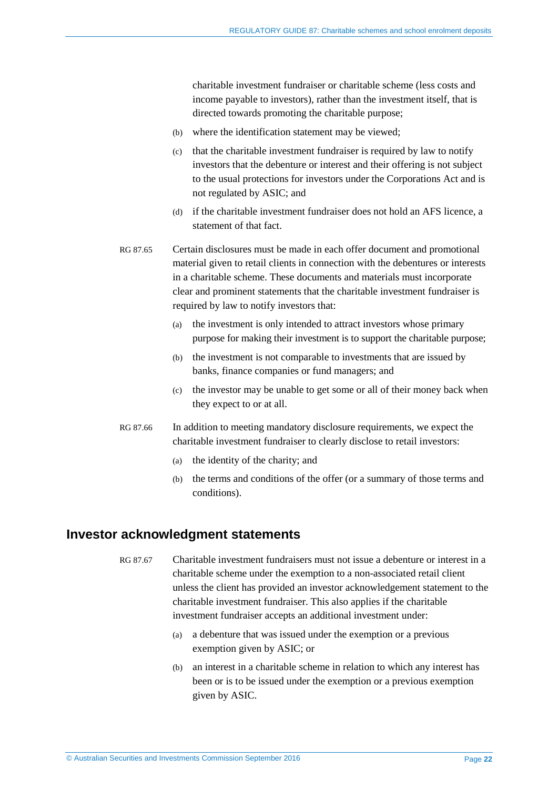charitable investment fundraiser or charitable scheme (less costs and income payable to investors), rather than the investment itself, that is directed towards promoting the charitable purpose;

- (b) where the identification statement may be viewed;
- (c) that the charitable investment fundraiser is required by law to notify investors that the debenture or interest and their offering is not subject to the usual protections for investors under the Corporations Act and is not regulated by ASIC; and
- (d) if the charitable investment fundraiser does not hold an AFS licence, a statement of that fact.
- <span id="page-21-3"></span>RG 87.65 Certain disclosures must be made in each offer document and promotional material given to retail clients in connection with the debentures or interests in a charitable scheme. These documents and materials must incorporate clear and prominent statements that the charitable investment fundraiser is required by law to notify investors that:
	- (a) the investment is only intended to attract investors whose primary purpose for making their investment is to support the charitable purpose;
	- (b) the investment is not comparable to investments that are issued by banks, finance companies or fund managers; and
	- (c) the investor may be unable to get some or all of their money back when they expect to or at all.
- <span id="page-21-1"></span>RG 87.66 In addition to meeting mandatory disclosure requirements, we expect the charitable investment fundraiser to clearly disclose to retail investors:
	- (a) the identity of the charity; and
	- (b) the terms and conditions of the offer (or a summary of those terms and conditions).

# <span id="page-21-2"></span><span id="page-21-0"></span>**Investor acknowledgment statements**

- RG 87.67 Charitable investment fundraisers must not issue a debenture or interest in a charitable scheme under the exemption to a non-associated retail client unless the client has provided an investor acknowledgement statement to the charitable investment fundraiser. This also applies if the charitable investment fundraiser accepts an additional investment under:
	- (a) a debenture that was issued under the exemption or a previous exemption given by ASIC; or
	- (b) an interest in a charitable scheme in relation to which any interest has been or is to be issued under the exemption or a previous exemption given by ASIC.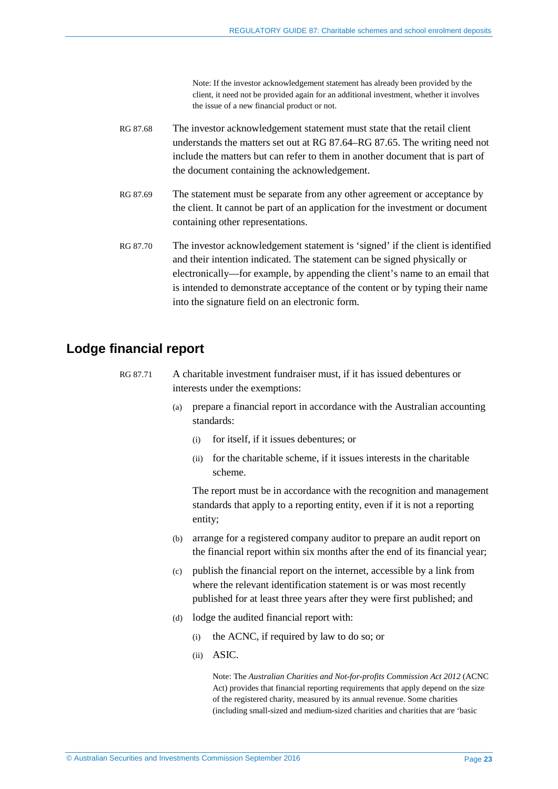Note: If the investor acknowledgement statement has already been provided by the client, it need not be provided again for an additional investment, whether it involves the issue of a new financial product or not.

- <span id="page-22-3"></span>RG 87.68 The investor acknowledgement statement must state that the retail client understands the matters set out at [RG 87.64](#page-20-4)[–RG 87.65.](#page-21-3) The writing need not include the matters but can refer to them in another document that is part of the document containing the acknowledgement.
- RG 87.69 The statement must be separate from any other agreement or acceptance by the client. It cannot be part of an application for the investment or document containing other representations.
- <span id="page-22-1"></span>RG 87.70 The investor acknowledgement statement is 'signed' if the client is identified and their intention indicated. The statement can be signed physically or electronically—for example, by appending the client's name to an email that is intended to demonstrate acceptance of the content or by typing their name into the signature field on an electronic form.

# <span id="page-22-2"></span><span id="page-22-0"></span>**Lodge financial report**

- RG 87.71 A charitable investment fundraiser must, if it has issued debentures or interests under the exemptions:
	- (a) prepare a financial report in accordance with the Australian accounting standards:
		- (i) for itself, if it issues debentures; or
		- (ii) for the charitable scheme, if it issues interests in the charitable scheme.

The report must be in accordance with the recognition and management standards that apply to a reporting entity, even if it is not a reporting entity;

- (b) arrange for a registered company auditor to prepare an audit report on the financial report within six months after the end of its financial year;
- (c) publish the financial report on the internet, accessible by a link from where the relevant identification statement is or was most recently published for at least three years after they were first published; and
- (d) lodge the audited financial report with:
	- (i) the ACNC, if required by law to do so; or
	- (ii) ASIC.

Note: The *Australian Charities and Not-for-profits Commission Act 2012* (ACNC Act) provides that financial reporting requirements that apply depend on the size of the registered charity, measured by its annual revenue. Some charities (including small-sized and medium-sized charities and charities that are 'basic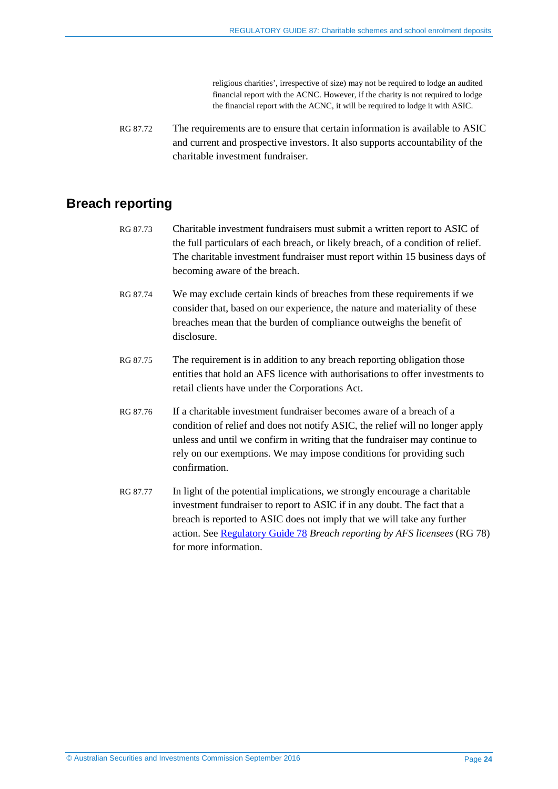religious charities', irrespective of size) may not be required to lodge an audited financial report with the ACNC. However, if the charity is not required to lodge the financial report with the ACNC, it will be required to lodge it with ASIC.

<span id="page-23-1"></span>RG 87.72 The requirements are to ensure that certain information is available to ASIC and current and prospective investors. It also supports accountability of the charitable investment fundraiser.

# <span id="page-23-2"></span><span id="page-23-0"></span>**Breach reporting**

- RG 87.73 Charitable investment fundraisers must submit a written report to ASIC of the full particulars of each breach, or likely breach, of a condition of relief. The charitable investment fundraiser must report within 15 business days of becoming aware of the breach.
- RG 87.74 We may exclude certain kinds of breaches from these requirements if we consider that, based on our experience, the nature and materiality of these breaches mean that the burden of compliance outweighs the benefit of disclosure.
- RG 87.75 The requirement is in addition to any breach reporting obligation those entities that hold an AFS licence with authorisations to offer investments to retail clients have under the Corporations Act.
- RG 87.76 If a charitable investment fundraiser becomes aware of a breach of a condition of relief and does not notify ASIC, the relief will no longer apply unless and until we confirm in writing that the fundraiser may continue to rely on our exemptions. We may impose conditions for providing such confirmation.
- <span id="page-23-3"></span>RG 87.77 In light of the potential implications, we strongly encourage a charitable investment fundraiser to report to ASIC if in any doubt. The fact that a breach is reported to ASIC does not imply that we will take any further action. See [Regulatory Guide 78](http://asic.gov.au/regulatory-resources/find-a-document/regulatory-guides/rg-78-breach-reporting-by-afs-licensees/) *Breach reporting by AFS licensees* (RG 78) for more information.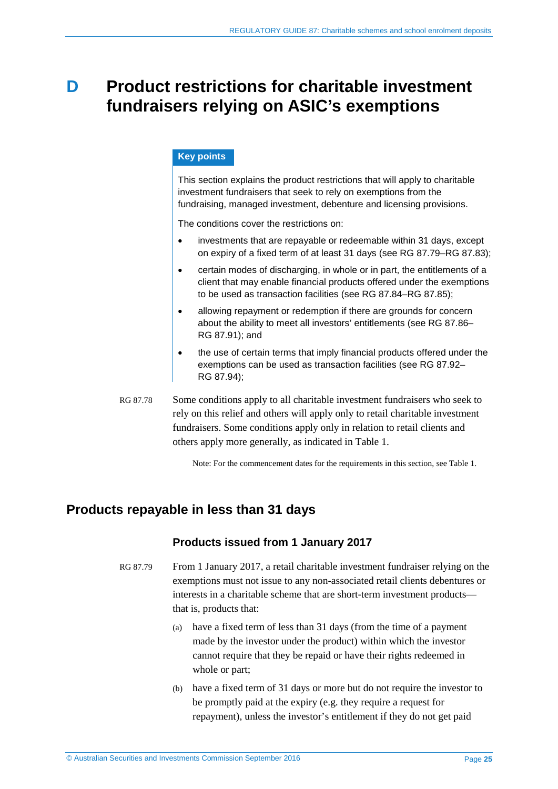# <span id="page-24-0"></span>**D Product restrictions for charitable investment fundraisers relying on ASIC's exemptions**

### **Key points**

This section explains the product restrictions that will apply to charitable investment fundraisers that seek to rely on exemptions from the fundraising, managed investment, debenture and licensing provisions.

The conditions cover the restrictions on:

- investments that are repayable or redeemable within 31 days, except on expiry of a fixed term of at least 31 days (see RG [87.79–](#page-24-2)RG [87.83\)](#page-25-1);
- certain modes of discharging, in whole or in part, the entitlements of a client that may enable financial products offered under the exemptions to be used as transaction facilities (see RG [87.84–](#page-25-3)RG [87.85\)](#page-25-4);
- allowing repayment or redemption if there are grounds for concern about the ability to meet all investors' entitlements (see RG [87.86–](#page-26-1) RG [87.91\)](#page-27-1); and
- the use of certain terms that imply financial products offered under the exemptions can be used as transaction facilities (see RG [87.92–](#page-27-4) RG [87.94\)](#page-27-3);
- RG 87.78 Some conditions apply to all charitable investment fundraisers who seek to rely on this relief and others will apply only to retail charitable investment fundraisers. Some conditions apply only in relation to retail clients and others apply more generally, as indicated in [Table 1.](#page-8-1)

Note: For the commencement dates for the requirements in this section, se[e Table 1.](#page-8-1) 

# <span id="page-24-2"></span><span id="page-24-1"></span>**Products repayable in less than 31 days**

### **Products issued from 1 January 2017**

- RG 87.79 From 1 January 2017, a retail charitable investment fundraiser relying on the exemptions must not issue to any non-associated retail clients debentures or interests in a charitable scheme that are short-term investment products that is, products that:
	- (a) have a fixed term of less than 31 days (from the time of a payment made by the investor under the product) within which the investor cannot require that they be repaid or have their rights redeemed in whole or part;
	- (b) have a fixed term of 31 days or more but do not require the investor to be promptly paid at the expiry (e.g. they require a request for repayment), unless the investor's entitlement if they do not get paid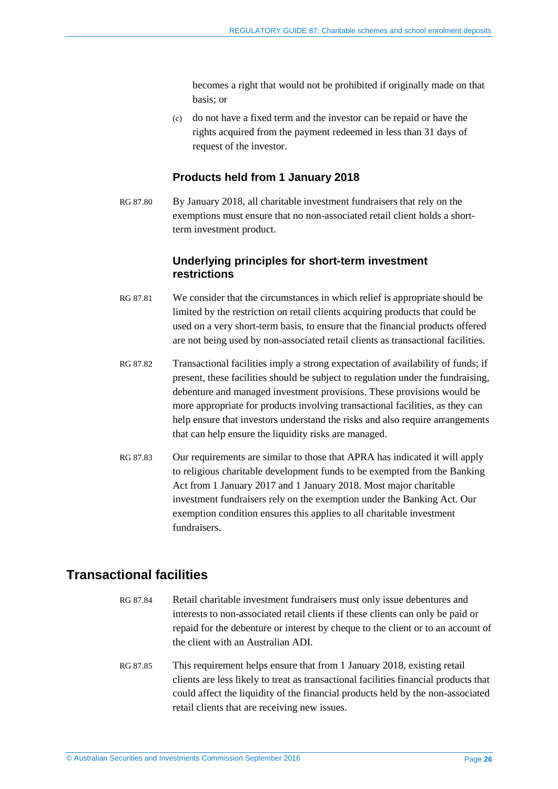becomes a right that would not be prohibited if originally made on that basis; or

(c) do not have a fixed term and the investor can be repaid or have the rights acquired from the payment redeemed in less than 31 days of request of the investor.

### **Products held from 1 January 2018**

<span id="page-25-2"></span>RG 87.80 By January 2018, all charitable investment fundraisers that rely on the exemptions must ensure that no non-associated retail client holds a shortterm investment product.

## **Underlying principles for short-term investment restrictions**

- RG 87.81 We consider that the circumstances in which relief is appropriate should be limited by the restriction on retail clients acquiring products that could be used on a very short-term basis, to ensure that the financial products offered are not being used by non-associated retail clients as transactional facilities.
- RG 87.82 Transactional facilities imply a strong expectation of availability of funds; if present, these facilities should be subject to regulation under the fundraising, debenture and managed investment provisions. These provisions would be more appropriate for products involving transactional facilities, as they can help ensure that investors understand the risks and also require arrangements that can help ensure the liquidity risks are managed.
- <span id="page-25-1"></span>RG 87.83 Our requirements are similar to those that APRA has indicated it will apply to religious charitable development funds to be exempted from the Banking Act from 1 January 2017 and 1 January 2018. Most major charitable investment fundraisers rely on the exemption under the Banking Act. Our exemption condition ensures this applies to all charitable investment fundraisers.

# <span id="page-25-0"></span>**Transactional facilities**

- <span id="page-25-3"></span>RG 87.84 Retail charitable investment fundraisers must only issue debentures and interests to non-associated retail clients if these clients can only be paid or repaid for the debenture or interest by cheque to the client or to an account of the client with an Australian ADI.
- <span id="page-25-4"></span>RG 87.85 This requirement helps ensure that from 1 January 2018, existing retail clients are less likely to treat as transactional facilities financial products that could affect the liquidity of the financial products held by the non-associated retail clients that are receiving new issues.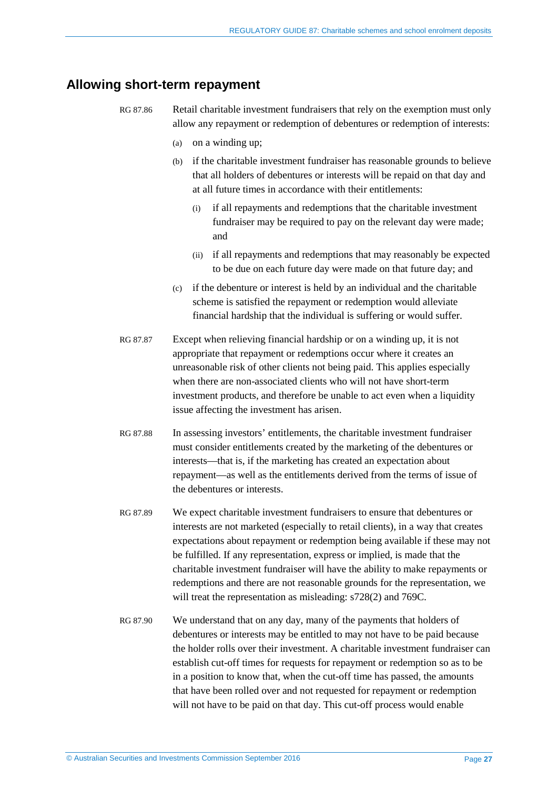# <span id="page-26-1"></span><span id="page-26-0"></span>**Allowing short-term repayment**

- <span id="page-26-2"></span>RG 87.86 Retail charitable investment fundraisers that rely on the exemption must only allow any repayment or redemption of debentures or redemption of interests:
	- (a) on a winding up;
	- (b) if the charitable investment fundraiser has reasonable grounds to believe that all holders of debentures or interests will be repaid on that day and at all future times in accordance with their entitlements:
		- (i) if all repayments and redemptions that the charitable investment fundraiser may be required to pay on the relevant day were made; and
		- (ii) if all repayments and redemptions that may reasonably be expected to be due on each future day were made on that future day; and
	- (c) if the debenture or interest is held by an individual and the charitable scheme is satisfied the repayment or redemption would alleviate financial hardship that the individual is suffering or would suffer.
	- RG 87.87 Except when relieving financial hardship or on a winding up, it is not appropriate that repayment or redemptions occur where it creates an unreasonable risk of other clients not being paid. This applies especially when there are non-associated clients who will not have short-term investment products, and therefore be unable to act even when a liquidity issue affecting the investment has arisen.
	- RG 87.88 In assessing investors' entitlements, the charitable investment fundraiser must consider entitlements created by the marketing of the debentures or interests—that is, if the marketing has created an expectation about repayment—as well as the entitlements derived from the terms of issue of the debentures or interests.
- RG 87.89 We expect charitable investment fundraisers to ensure that debentures or interests are not marketed (especially to retail clients), in a way that creates expectations about repayment or redemption being available if these may not be fulfilled. If any representation, express or implied, is made that the charitable investment fundraiser will have the ability to make repayments or redemptions and there are not reasonable grounds for the representation, we will treat the representation as misleading: s728(2) and 769C.
- RG 87.90 We understand that on any day, many of the payments that holders of debentures or interests may be entitled to may not have to be paid because the holder rolls over their investment. A charitable investment fundraiser can establish cut-off times for requests for repayment or redemption so as to be in a position to know that, when the cut-off time has passed, the amounts that have been rolled over and not requested for repayment or redemption will not have to be paid on that day. This cut-off process would enable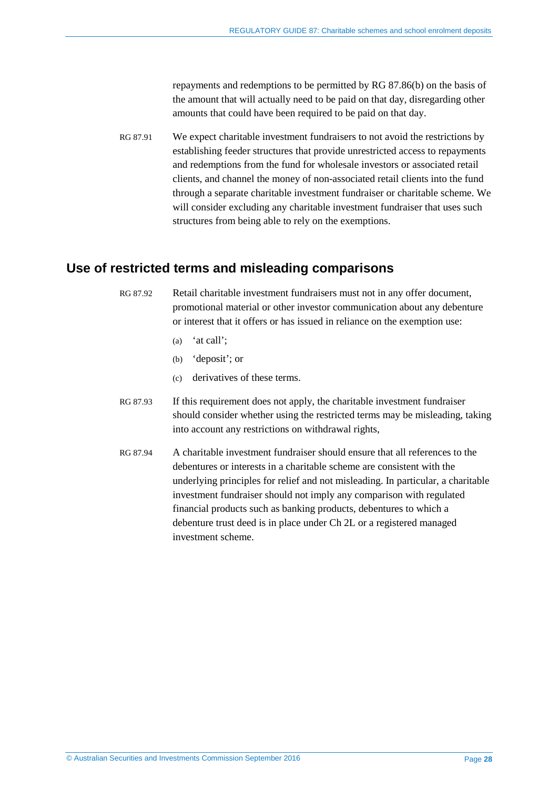repayments and redemptions to be permitted by [RG 87.86\(b\)](#page-26-2) on the basis of the amount that will actually need to be paid on that day, disregarding other amounts that could have been required to be paid on that day.

<span id="page-27-1"></span>RG 87.91 We expect charitable investment fundraisers to not avoid the restrictions by establishing feeder structures that provide unrestricted access to repayments and redemptions from the fund for wholesale investors or associated retail clients, and channel the money of non-associated retail clients into the fund through a separate charitable investment fundraiser or charitable scheme. We will consider excluding any charitable investment fundraiser that uses such structures from being able to rely on the exemptions.

# <span id="page-27-2"></span><span id="page-27-0"></span>**Use of restricted terms and misleading comparisons**

- <span id="page-27-4"></span>RG 87.92 Retail charitable investment fundraisers must not in any offer document, promotional material or other investor communication about any debenture or interest that it offers or has issued in reliance on the exemption use:
	- (a) 'at call';
	- (b) 'deposit'; or
	- (c) derivatives of these terms.
- RG 87.93 If this requirement does not apply, the charitable investment fundraiser should consider whether using the restricted terms may be misleading, taking into account any restrictions on withdrawal rights,
- <span id="page-27-3"></span>RG 87.94 A charitable investment fundraiser should ensure that all references to the debentures or interests in a charitable scheme are consistent with the underlying principles for relief and not misleading. In particular, a charitable investment fundraiser should not imply any comparison with regulated financial products such as banking products, debentures to which a debenture trust deed is in place under Ch 2L or a registered managed investment scheme.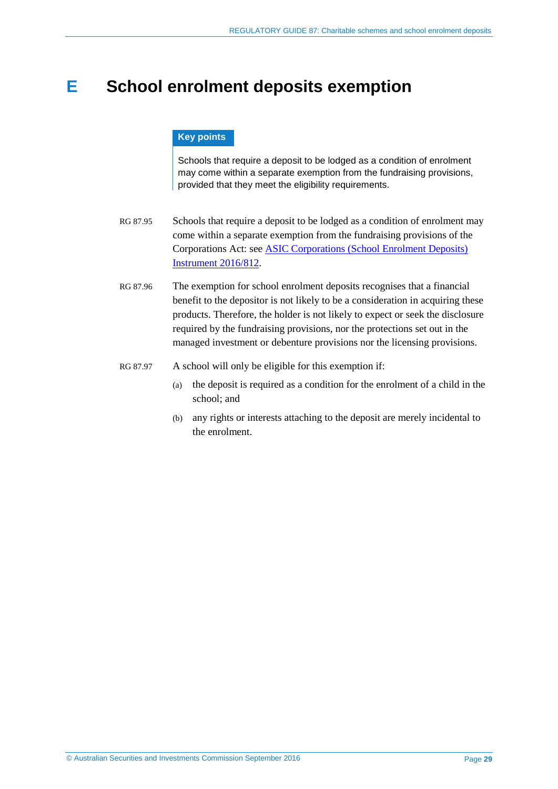# <span id="page-28-0"></span>**E School enrolment deposits exemption**

### **Key points**

Schools that require a deposit to be lodged as a condition of enrolment may come within a separate exemption from the fundraising provisions, provided that they meet the eligibility requirements.

- RG 87.95 Schools that require a deposit to be lodged as a condition of enrolment may come within a separate exemption from the fundraising provisions of the Corporations Act: see [ASIC Corporations \(School Enrolment Deposits\)](http://www.asic.gov.au/regulatory-resources/find-a-document/class-orders/2016-legislative-instruments/)  [Instrument 2016/812.](http://www.asic.gov.au/regulatory-resources/find-a-document/class-orders/2016-legislative-instruments/)
- RG 87.96 The exemption for school enrolment deposits recognises that a financial benefit to the depositor is not likely to be a consideration in acquiring these products. Therefore, the holder is not likely to expect or seek the disclosure required by the fundraising provisions, nor the protections set out in the managed investment or debenture provisions nor the licensing provisions.
- RG 87.97 A school will only be eligible for this exemption if:
	- (a) the deposit is required as a condition for the enrolment of a child in the school; and
	- (b) any rights or interests attaching to the deposit are merely incidental to the enrolment.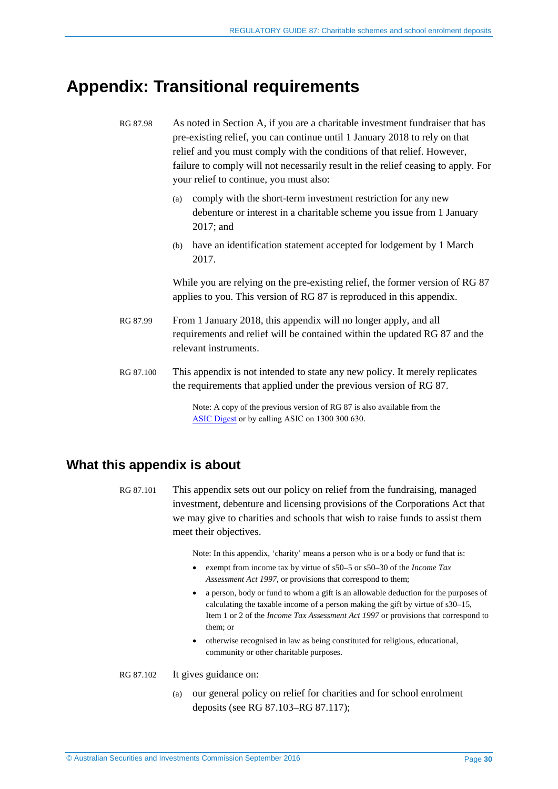# <span id="page-29-0"></span>**Appendix: Transitional requirements**

RG 87.98 As noted in Section [A,](#page-3-0) if you are a charitable investment fundraiser that has pre-existing relief, you can continue until 1 January 2018 to rely on that relief and you must comply with the conditions of that relief. However, failure to comply will not necessarily result in the relief ceasing to apply. For your relief to continue, you must also:

- (a) comply with the short-term investment restriction for any new debenture or interest in a charitable scheme you issue from 1 January 2017; and
- (b) have an identification statement accepted for lodgement by 1 March 2017.

While you are relying on the pre-existing relief, the former version of RG 87 applies to you. This version of RG 87 is reproduced in this appendix.

- RG 87.99 From 1 January 2018, this appendix will no longer apply, and all requirements and relief will be contained within the updated RG 87 and the relevant instruments.
- RG 87.100 This appendix is not intended to state any new policy. It merely replicates the requirements that applied under the previous version of RG 87.

Note: A copy of the previous version of RG 87 is also available from the [ASIC Digest](http://asic.gov.au/about-asic/corporate-publications/asic-digest/) or by calling ASIC on 1300 300 630.

# <span id="page-29-1"></span>**What this appendix is about**

RG 87.101 This appendix sets out our policy on relief from the fundraising, managed investment, debenture and licensing provisions of the Corporations Act that we may give to charities and schools that wish to raise funds to assist them meet their objectives.

<span id="page-29-2"></span>Note: In this appendix, 'charity' means a person who is or a body or fund that is:

- exempt from income tax by virtue of s50–5 or s50–30 of the *Income Tax Assessment Act 1997*, or provisions that correspond to them;
- a person, body or fund to whom a gift is an allowable deduction for the purposes of calculating the taxable income of a person making the gift by virtue of s30–15, Item 1 or 2 of the *Income Tax Assessment Act 1997* or provisions that correspond to them; or
- otherwise recognised in law as being constituted for religious, educational, community or other charitable purposes.
- RG 87.102 It gives guidance on:
	- (a) our general policy on relief for charities and for school enrolment deposits (see [RG 87.103](#page-30-1)[–RG 87.117\)](#page-33-1);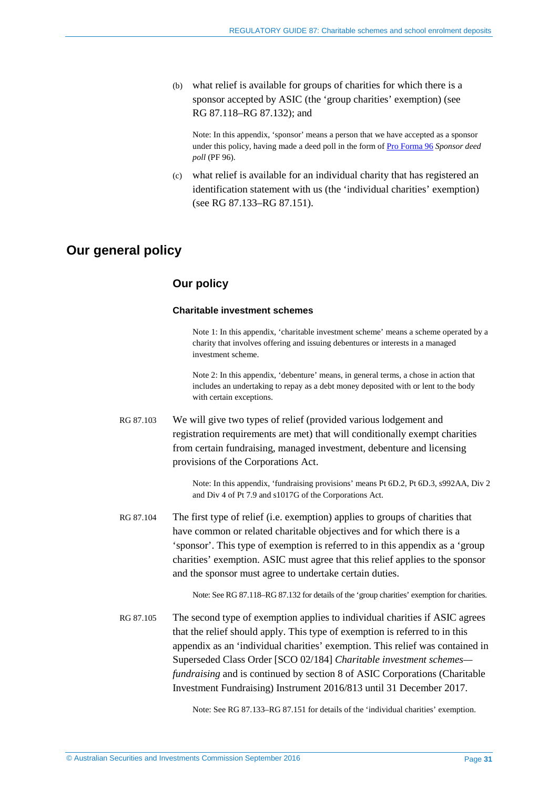(b) what relief is available for groups of charities for which there is a sponsor accepted by ASIC (the 'group charities' exemption) (see [RG 87.118](#page-33-2)[–RG 87.132\)](#page-37-1); and

Note: In this appendix, 'sponsor' means a person that we have accepted as a sponsor under this policy, having made a deed poll in the form o[f Pro Forma 96](http://asic.gov.au/regulatory-resources/find-a-document/pro-formas/) *Sponsor deed poll* (PF 96).

(c) what relief is available for an individual charity that has registered an identification statement with us (the 'individual charities' exemption) (see [RG 87.133–](#page-37-2)[RG 87.151\)](#page-41-0).

# <span id="page-30-0"></span>**Our general policy**

# **Our policy**

#### **Charitable investment schemes**

Note 1: In this appendix, 'charitable investment scheme' means a scheme operated by a charity that involves offering and issuing debentures or interests in a managed investment scheme.

Note 2: In this appendix, 'debenture' means, in general terms, a chose in action that includes an undertaking to repay as a debt money deposited with or lent to the body with certain exceptions.

<span id="page-30-1"></span>RG 87.103 We will give two types of relief (provided various lodgement and registration requirements are met) that will conditionally exempt charities from certain fundraising, managed investment, debenture and licensing provisions of the Corporations Act.

> Note: In this appendix, 'fundraising provisions' means Pt 6D.2, Pt 6D.3, s992AA, Div 2 and Div 4 of Pt 7.9 and s1017G of the Corporations Act.

RG 87.104 The first type of relief (i.e. exemption) applies to groups of charities that have common or related charitable objectives and for which there is a 'sponsor'. This type of exemption is referred to in this appendix as a 'group charities' exemption. ASIC must agree that this relief applies to the sponsor and the sponsor must agree to undertake certain duties.

Note: See RG [87.118–](#page-33-2)RG [87.132](#page-37-1) for details of the 'group charities' exemption for charities.

RG 87.105 The second type of exemption applies to individual charities if ASIC agrees that the relief should apply. This type of exemption is referred to in this appendix as an 'individual charities' exemption. This relief was contained in Superseded Class Order [SCO 02/184] *Charitable investment schemes fundraising* and is continued by section 8 of ASIC Corporations (Charitable Investment Fundraising) Instrument 2016/813 until 31 December 2017.

Note: See [RG 87.133–](#page-37-2)[RG 87.151](#page-41-0) for details of the 'individual charities' exemption.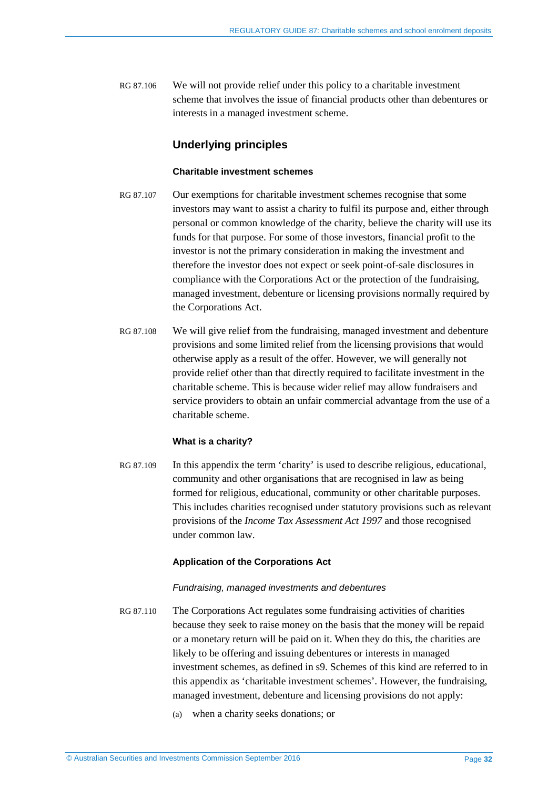RG 87.106 We will not provide relief under this policy to a charitable investment scheme that involves the issue of financial products other than debentures or interests in a managed investment scheme.

## **Underlying principles**

#### **Charitable investment schemes**

- <span id="page-31-0"></span>RG 87.107 Our exemptions for charitable investment schemes recognise that some investors may want to assist a charity to fulfil its purpose and, either through personal or common knowledge of the charity, believe the charity will use its funds for that purpose. For some of those investors, financial profit to the investor is not the primary consideration in making the investment and therefore the investor does not expect or seek point-of-sale disclosures in compliance with the Corporations Act or the protection of the fundraising, managed investment, debenture or licensing provisions normally required by the Corporations Act.
- RG 87.108 We will give relief from the fundraising, managed investment and debenture provisions and some limited relief from the licensing provisions that would otherwise apply as a result of the offer. However, we will generally not provide relief other than that directly required to facilitate investment in the charitable scheme. This is because wider relief may allow fundraisers and service providers to obtain an unfair commercial advantage from the use of a charitable scheme.

### **What is a charity?**

RG 87.109 In this appendix the term 'charity' is used to describe religious, educational, community and other organisations that are recognised in law as being formed for religious, educational, community or other charitable purposes. This includes charities recognised under statutory provisions such as relevant provisions of the *Income Tax Assessment Act 1997* and those recognised under common law.

### **Application of the Corporations Act**

### *Fundraising, managed investments and debentures*

- RG 87.110 The Corporations Act regulates some fundraising activities of charities because they seek to raise money on the basis that the money will be repaid or a monetary return will be paid on it. When they do this, the charities are likely to be offering and issuing debentures or interests in managed investment schemes, as defined in s9. Schemes of this kind are referred to in this appendix as 'charitable investment schemes'. However, the fundraising, managed investment, debenture and licensing provisions do not apply:
	- (a) when a charity seeks donations; or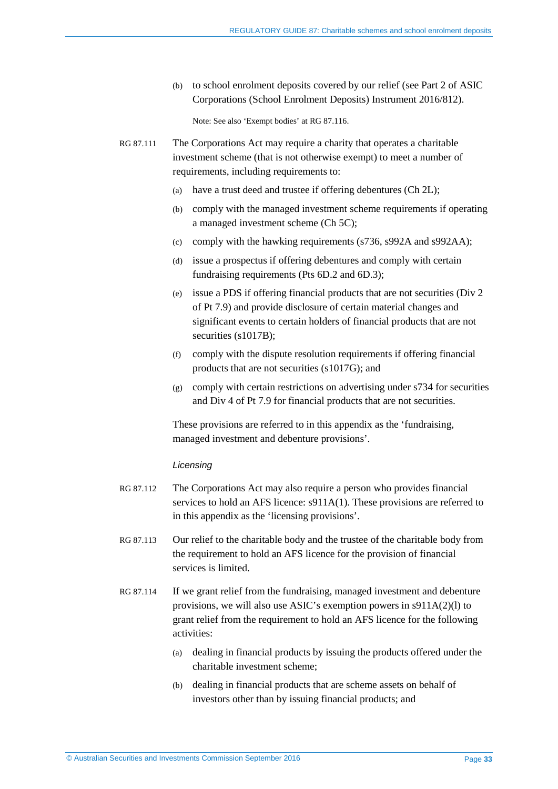(b) to school enrolment deposits covered by our relief (see Part 2 of ASIC Corporations (School Enrolment Deposits) Instrument 2016/812).

Note: See also 'Exempt bodies' a[t RG 87.116.](#page-33-3)

- RG 87.111 The Corporations Act may require a charity that operates a charitable investment scheme (that is not otherwise exempt) to meet a number of requirements, including requirements to:
	- (a) have a trust deed and trustee if offering debentures (Ch 2L);
	- (b) comply with the managed investment scheme requirements if operating a managed investment scheme (Ch 5C);
	- (c) comply with the hawking requirements (s736, s992A and s992AA);
	- (d) issue a prospectus if offering debentures and comply with certain fundraising requirements (Pts 6D.2 and 6D.3);
	- (e) issue a PDS if offering financial products that are not securities (Div 2 of Pt 7.9) and provide disclosure of certain material changes and significant events to certain holders of financial products that are not securities (s1017B);
	- (f) comply with the dispute resolution requirements if offering financial products that are not securities (s1017G); and
	- (g) comply with certain restrictions on advertising under s734 for securities and Div 4 of Pt 7.9 for financial products that are not securities.

These provisions are referred to in this appendix as the 'fundraising, managed investment and debenture provisions'.

#### *Licensing*

- RG 87.112 The Corporations Act may also require a person who provides financial services to hold an AFS licence: s911A(1). These provisions are referred to in this appendix as the 'licensing provisions'.
- RG 87.113 Our relief to the charitable body and the trustee of the charitable body from the requirement to hold an AFS licence for the provision of financial services is limited.
- RG 87.114 If we grant relief from the fundraising, managed investment and debenture provisions, we will also use ASIC's exemption powers in s911A(2)(l) to grant relief from the requirement to hold an AFS licence for the following activities:
	- (a) dealing in financial products by issuing the products offered under the charitable investment scheme;
	- (b) dealing in financial products that are scheme assets on behalf of investors other than by issuing financial products; and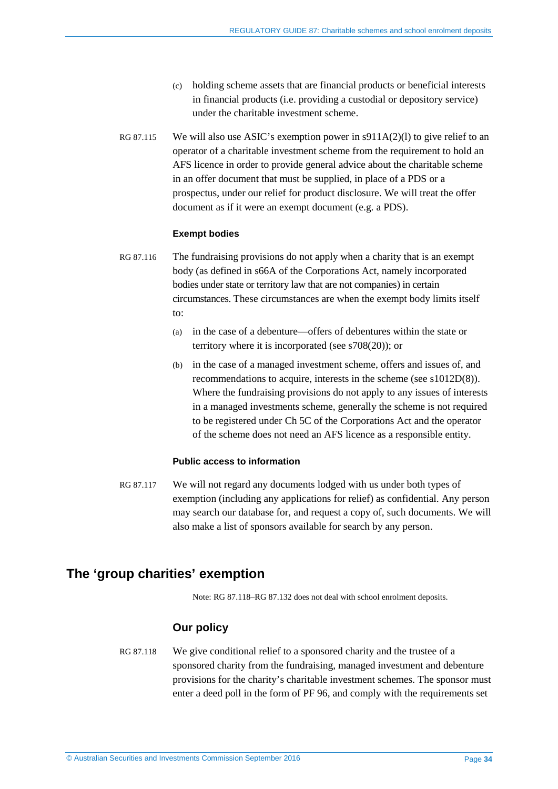- (c) holding scheme assets that are financial products or beneficial interests in financial products (i.e. providing a custodial or depository service) under the charitable investment scheme.
- RG 87.115 We will also use ASIC's exemption power in s911A(2)(l) to give relief to an operator of a charitable investment scheme from the requirement to hold an AFS licence in order to provide general advice about the charitable scheme in an offer document that must be supplied, in place of a PDS or a prospectus, under our relief for product disclosure. We will treat the offer document as if it were an exempt document (e.g. a PDS).

#### **Exempt bodies**

<span id="page-33-3"></span>RG 87.116 The fundraising provisions do not apply when a charity that is an exempt body (as defined in s66A of the Corporations Act, namely incorporated bodies under state or territory law that are not companies) in certain circumstances. These circumstances are when the exempt body limits itself to:

- (a) in the case of a debenture—offers of debentures within the state or territory where it is incorporated (see s708(20)); or
- (b) in the case of a managed investment scheme, offers and issues of, and recommendations to acquire, interests in the scheme (see s1012D(8)). Where the fundraising provisions do not apply to any issues of interests in a managed investments scheme, generally the scheme is not required to be registered under Ch 5C of the Corporations Act and the operator of the scheme does not need an AFS licence as a responsible entity.

### **Public access to information**

<span id="page-33-1"></span>RG 87.117 We will not regard any documents lodged with us under both types of exemption (including any applications for relief) as confidential. Any person may search our database for, and request a copy of, such documents. We will also make a list of sponsors available for search by any person.

# <span id="page-33-0"></span>**The 'group charities' exemption**

Note: [RG 87.118–](#page-33-2)[RG 87.132](#page-37-1) does not deal with school enrolment deposits.

### **Our policy**

<span id="page-33-2"></span>RG 87.118 We give conditional relief to a sponsored charity and the trustee of a sponsored charity from the fundraising, managed investment and debenture provisions for the charity's charitable investment schemes. The sponsor must enter a deed poll in the form of PF 96, and comply with the requirements set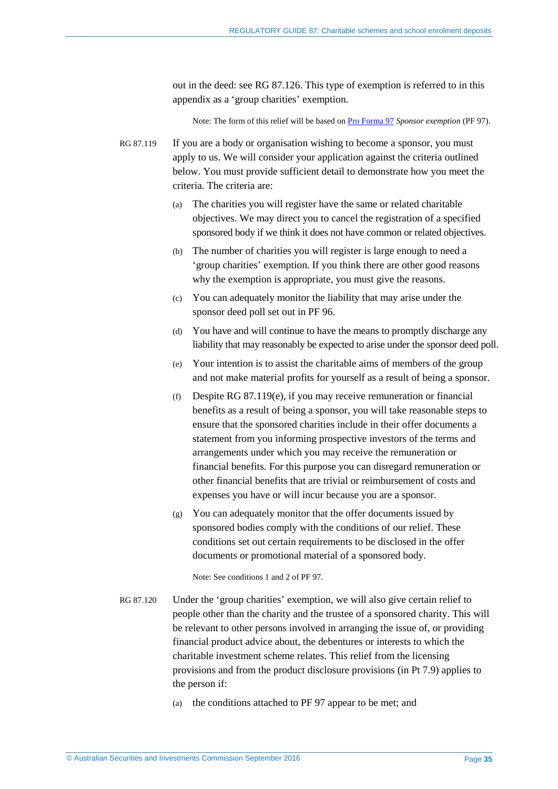out in the deed: see [RG 87.126.](#page-36-0) This type of exemption is referred to in this appendix as a 'group charities' exemption.

Note: The form of this relief will be based on [Pro Forma 97](http://asic.gov.au/regulatory-resources/find-a-document/pro-formas/) *Sponsor exemption* (PF 97).

<span id="page-34-1"></span>RG 87.119 If you are a body or organisation wishing to become a sponsor, you must apply to us. We will consider your application against the criteria outlined below. You must provide sufficient detail to demonstrate how you meet the criteria. The criteria are:

- (a) The charities you will register have the same or related charitable objectives. We may direct you to cancel the registration of a specified sponsored body if we think it does not have common or related objectives.
- (b) The number of charities you will register is large enough to need a 'group charities' exemption. If you think there are other good reasons why the exemption is appropriate, you must give the reasons.
- (c) You can adequately monitor the liability that may arise under the sponsor deed poll set out in PF 96.
- (d) You have and will continue to have the means to promptly discharge any liability that may reasonably be expected to arise under the sponsor deed poll.
- <span id="page-34-0"></span>(e) Your intention is to assist the charitable aims of members of the group and not make material profits for yourself as a result of being a sponsor.
- (f) Despite [RG 87.119\(e\),](#page-34-0) if you may receive remuneration or financial benefits as a result of being a sponsor, you will take reasonable steps to ensure that the sponsored charities include in their offer documents a statement from you informing prospective investors of the terms and arrangements under which you may receive the remuneration or financial benefits. For this purpose you can disregard remuneration or other financial benefits that are trivial or reimbursement of costs and expenses you have or will incur because you are a sponsor.
- (g) You can adequately monitor that the offer documents issued by sponsored bodies comply with the conditions of our relief. These conditions set out certain requirements to be disclosed in the offer documents or promotional material of a sponsored body.

Note: See conditions 1 and 2 of PF 97.

- RG 87.120 Under the 'group charities' exemption, we will also give certain relief to people other than the charity and the trustee of a sponsored charity. This will be relevant to other persons involved in arranging the issue of, or providing financial product advice about, the debentures or interests to which the charitable investment scheme relates. This relief from the licensing provisions and from the product disclosure provisions (in Pt 7.9) applies to the person if:
	- (a) the conditions attached to PF 97 appear to be met; and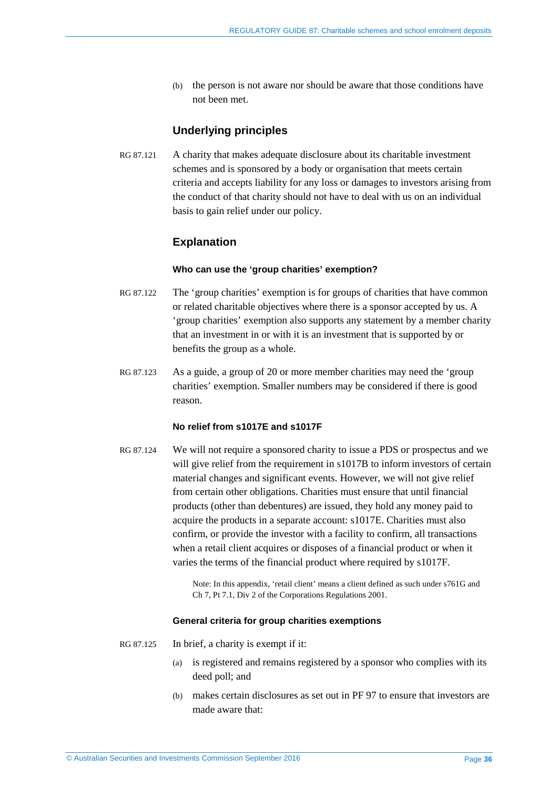(b) the person is not aware nor should be aware that those conditions have not been met.

## **Underlying principles**

RG 87.121 A charity that makes adequate disclosure about its charitable investment schemes and is sponsored by a body or organisation that meets certain criteria and accepts liability for any loss or damages to investors arising from the conduct of that charity should not have to deal with us on an individual basis to gain relief under our policy.

## **Explanation**

#### **Who can use the 'group charities' exemption?**

- RG 87.122 The 'group charities' exemption is for groups of charities that have common or related charitable objectives where there is a sponsor accepted by us. A 'group charities' exemption also supports any statement by a member charity that an investment in or with it is an investment that is supported by or benefits the group as a whole.
- RG 87.123 As a guide, a group of 20 or more member charities may need the 'group charities' exemption. Smaller numbers may be considered if there is good reason.

### **No relief from s1017E and s1017F**

RG 87.124 We will not require a sponsored charity to issue a PDS or prospectus and we will give relief from the requirement in s1017B to inform investors of certain material changes and significant events. However, we will not give relief from certain other obligations. Charities must ensure that until financial products (other than debentures) are issued, they hold any money paid to acquire the products in a separate account: s1017E. Charities must also confirm, or provide the investor with a facility to confirm, all transactions when a retail client acquires or disposes of a financial product or when it varies the terms of the financial product where required by s1017F.

> Note: In this appendix, 'retail client' means a client defined as such under s761G and Ch 7, Pt 7.1, Div 2 of the Corporations Regulations 2001.

#### **General criteria for group charities exemptions**

- RG 87.125 In brief, a charity is exempt if it:
	- (a) is registered and remains registered by a sponsor who complies with its deed poll; and
	- (b) makes certain disclosures as set out in PF 97 to ensure that investors are made aware that: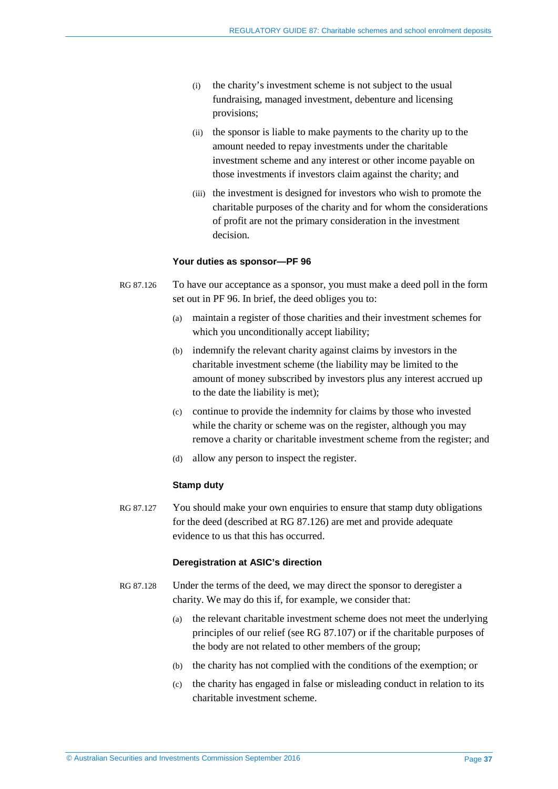- (i) the charity's investment scheme is not subject to the usual fundraising, managed investment, debenture and licensing provisions;
- (ii) the sponsor is liable to make payments to the charity up to the amount needed to repay investments under the charitable investment scheme and any interest or other income payable on those investments if investors claim against the charity; and
- (iii) the investment is designed for investors who wish to promote the charitable purposes of the charity and for whom the considerations of profit are not the primary consideration in the investment decision.

#### **Your duties as sponsor—PF 96**

- <span id="page-36-0"></span>RG 87.126 To have our acceptance as a sponsor, you must make a deed poll in the form set out in PF 96. In brief, the deed obliges you to:
	- (a) maintain a register of those charities and their investment schemes for which you unconditionally accept liability;
	- (b) indemnify the relevant charity against claims by investors in the charitable investment scheme (the liability may be limited to the amount of money subscribed by investors plus any interest accrued up to the date the liability is met);
	- (c) continue to provide the indemnity for claims by those who invested while the charity or scheme was on the register, although you may remove a charity or charitable investment scheme from the register; and
	- (d) allow any person to inspect the register.

#### **Stamp duty**

RG 87.127 You should make your own enquiries to ensure that stamp duty obligations for the deed (described at [RG 87.126\)](#page-36-0) are met and provide adequate evidence to us that this has occurred.

### **Deregistration at ASIC's direction**

- RG 87.128 Under the terms of the deed, we may direct the sponsor to deregister a charity. We may do this if, for example, we consider that:
	- (a) the relevant charitable investment scheme does not meet the underlying principles of our relief (see [RG 87.107\)](#page-31-0) or if the charitable purposes of the body are not related to other members of the group;
	- (b) the charity has not complied with the conditions of the exemption; or
	- (c) the charity has engaged in false or misleading conduct in relation to its charitable investment scheme.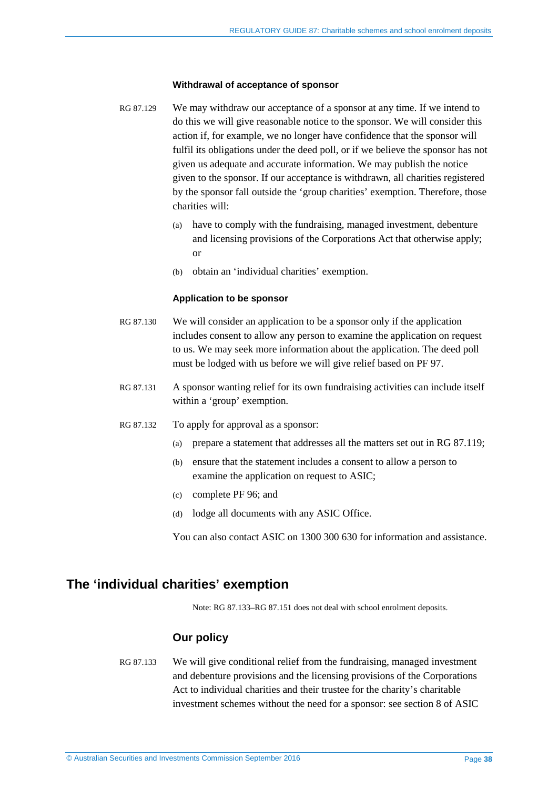#### **Withdrawal of acceptance of sponsor**

- RG 87.129 We may withdraw our acceptance of a sponsor at any time. If we intend to do this we will give reasonable notice to the sponsor. We will consider this action if, for example, we no longer have confidence that the sponsor will fulfil its obligations under the deed poll, or if we believe the sponsor has not given us adequate and accurate information. We may publish the notice given to the sponsor. If our acceptance is withdrawn, all charities registered by the sponsor fall outside the 'group charities' exemption. Therefore, those charities will:
	- (a) have to comply with the fundraising, managed investment, debenture and licensing provisions of the Corporations Act that otherwise apply; or
	- (b) obtain an 'individual charities' exemption.

#### **Application to be sponsor**

- RG 87.130 We will consider an application to be a sponsor only if the application includes consent to allow any person to examine the application on request to us. We may seek more information about the application. The deed poll must be lodged with us before we will give relief based on PF 97.
- RG 87.131 A sponsor wanting relief for its own fundraising activities can include itself within a 'group' exemption.
- <span id="page-37-1"></span>RG 87.132 To apply for approval as a sponsor:
	- (a) prepare a statement that addresses all the matters set out in [RG 87.119;](#page-34-1)
	- (b) ensure that the statement includes a consent to allow a person to examine the application on request to ASIC;
	- (c) complete PF 96; and
	- (d) lodge all documents with any ASIC Office.

You can also contact ASIC on 1300 300 630 for information and assistance.

# <span id="page-37-0"></span>**The 'individual charities' exemption**

Note: [RG 87.133–](#page-37-2)[RG 87.151](#page-41-0) does not deal with school enrolment deposits.

### **Our policy**

<span id="page-37-2"></span>RG 87.133 We will give conditional relief from the fundraising, managed investment and debenture provisions and the licensing provisions of the Corporations Act to individual charities and their trustee for the charity's charitable investment schemes without the need for a sponsor: see section 8 of ASIC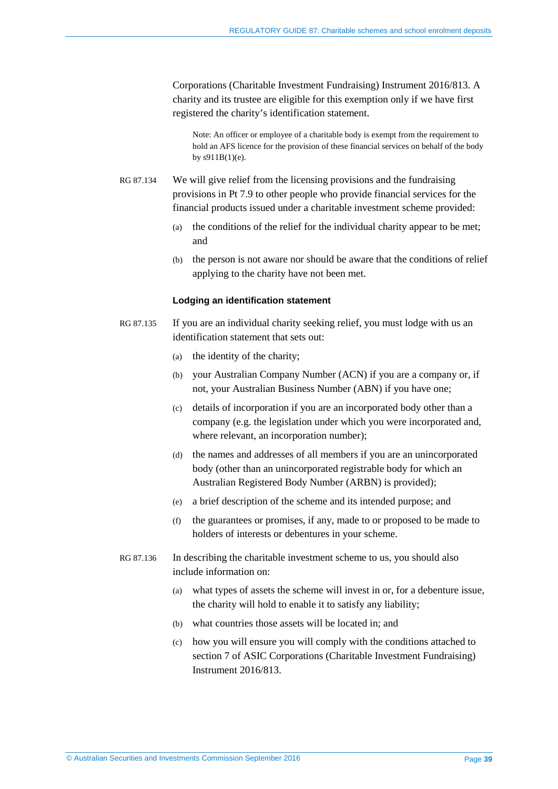Corporations (Charitable Investment Fundraising) Instrument 2016/813. A charity and its trustee are eligible for this exemption only if we have first registered the charity's identification statement.

Note: An officer or employee of a charitable body is exempt from the requirement to hold an AFS licence for the provision of these financial services on behalf of the body by s911B(1)(e).

RG 87.134 We will give relief from the licensing provisions and the fundraising provisions in Pt 7.9 to other people who provide financial services for the financial products issued under a charitable investment scheme provided:

- (a) the conditions of the relief for the individual charity appear to be met; and
- (b) the person is not aware nor should be aware that the conditions of relief applying to the charity have not been met.

#### **Lodging an identification statement**

- <span id="page-38-0"></span>RG 87.135 If you are an individual charity seeking relief, you must lodge with us an identification statement that sets out:
	- (a) the identity of the charity;
	- (b) your Australian Company Number (ACN) if you are a company or, if not, your Australian Business Number (ABN) if you have one;
	- (c) details of incorporation if you are an incorporated body other than a company (e.g. the legislation under which you were incorporated and, where relevant, an incorporation number);
	- (d) the names and addresses of all members if you are an unincorporated body (other than an unincorporated registrable body for which an Australian Registered Body Number (ARBN) is provided);
	- (e) a brief description of the scheme and its intended purpose; and
	- (f) the guarantees or promises, if any, made to or proposed to be made to holders of interests or debentures in your scheme.
- <span id="page-38-1"></span>RG 87.136 In describing the charitable investment scheme to us, you should also include information on:
	- (a) what types of assets the scheme will invest in or, for a debenture issue, the charity will hold to enable it to satisfy any liability;
	- (b) what countries those assets will be located in; and
	- (c) how you will ensure you will comply with the conditions attached to section 7 of ASIC Corporations (Charitable Investment Fundraising) Instrument 2016/813.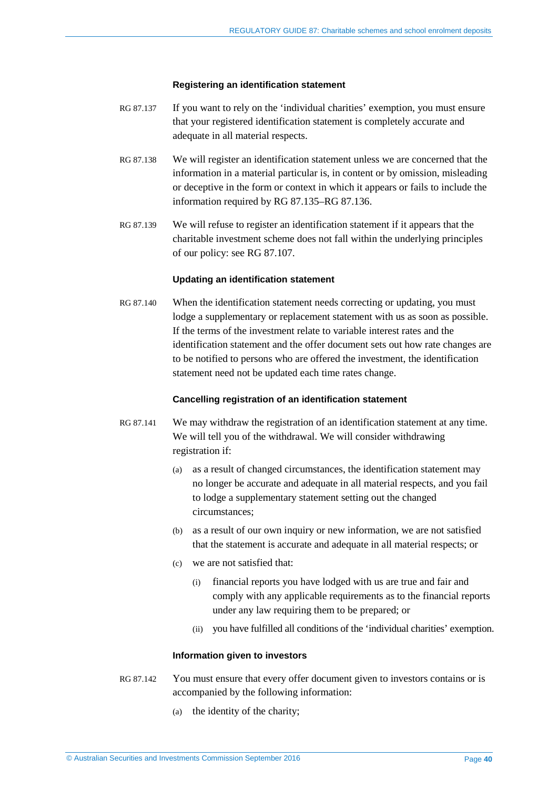#### **Registering an identification statement**

- RG 87.137 If you want to rely on the 'individual charities' exemption, you must ensure that your registered identification statement is completely accurate and adequate in all material respects.
- RG 87.138 We will register an identification statement unless we are concerned that the information in a material particular is, in content or by omission, misleading or deceptive in the form or context in which it appears or fails to include the information required by [RG 87.135–](#page-38-0)[RG 87.136.](#page-38-1)
- RG 87.139 We will refuse to register an identification statement if it appears that the charitable investment scheme does not fall within the underlying principles of our policy: se[e RG 87.107.](#page-31-0)

#### **Updating an identification statement**

<span id="page-39-0"></span>RG 87.140 When the identification statement needs correcting or updating, you must lodge a supplementary or replacement statement with us as soon as possible. If the terms of the investment relate to variable interest rates and the identification statement and the offer document sets out how rate changes are to be notified to persons who are offered the investment, the identification statement need not be updated each time rates change.

#### **Cancelling registration of an identification statement**

- RG 87.141 We may withdraw the registration of an identification statement at any time. We will tell you of the withdrawal. We will consider withdrawing registration if:
	- (a) as a result of changed circumstances, the identification statement may no longer be accurate and adequate in all material respects, and you fail to lodge a supplementary statement setting out the changed circumstances;
	- (b) as a result of our own inquiry or new information, we are not satisfied that the statement is accurate and adequate in all material respects; or
	- (c) we are not satisfied that:
		- (i) financial reports you have lodged with us are true and fair and comply with any applicable requirements as to the financial reports under any law requiring them to be prepared; or
		- (ii) you have fulfilled all conditions of the 'individual charities' exemption.

#### **Information given to investors**

- RG 87.142 You must ensure that every offer document given to investors contains or is accompanied by the following information:
	- (a) the identity of the charity;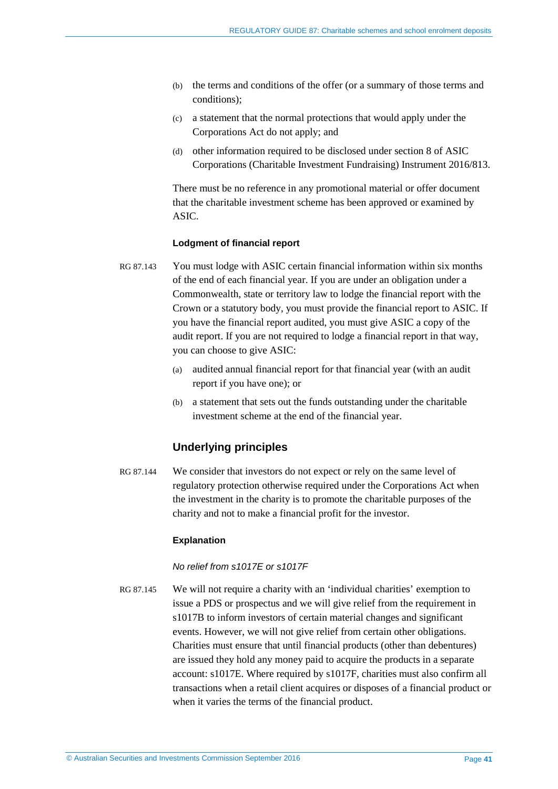- (b) the terms and conditions of the offer (or a summary of those terms and conditions);
- (c) a statement that the normal protections that would apply under the Corporations Act do not apply; and
- (d) other information required to be disclosed under section 8 of ASIC Corporations (Charitable Investment Fundraising) Instrument 2016/813.

There must be no reference in any promotional material or offer document that the charitable investment scheme has been approved or examined by ASIC.

#### **Lodgment of financial report**

- RG 87.143 You must lodge with ASIC certain financial information within six months of the end of each financial year. If you are under an obligation under a Commonwealth, state or territory law to lodge the financial report with the Crown or a statutory body, you must provide the financial report to ASIC. If you have the financial report audited, you must give ASIC a copy of the audit report. If you are not required to lodge a financial report in that way, you can choose to give ASIC:
	- (a) audited annual financial report for that financial year (with an audit report if you have one); or
	- (b) a statement that sets out the funds outstanding under the charitable investment scheme at the end of the financial year.

### **Underlying principles**

RG 87.144 We consider that investors do not expect or rely on the same level of regulatory protection otherwise required under the Corporations Act when the investment in the charity is to promote the charitable purposes of the charity and not to make a financial profit for the investor.

### **Explanation**

*No relief from s1017E or s1017F*

RG 87.145 We will not require a charity with an 'individual charities' exemption to issue a PDS or prospectus and we will give relief from the requirement in s1017B to inform investors of certain material changes and significant events. However, we will not give relief from certain other obligations. Charities must ensure that until financial products (other than debentures) are issued they hold any money paid to acquire the products in a separate account: s1017E. Where required by s1017F, charities must also confirm all transactions when a retail client acquires or disposes of a financial product or when it varies the terms of the financial product.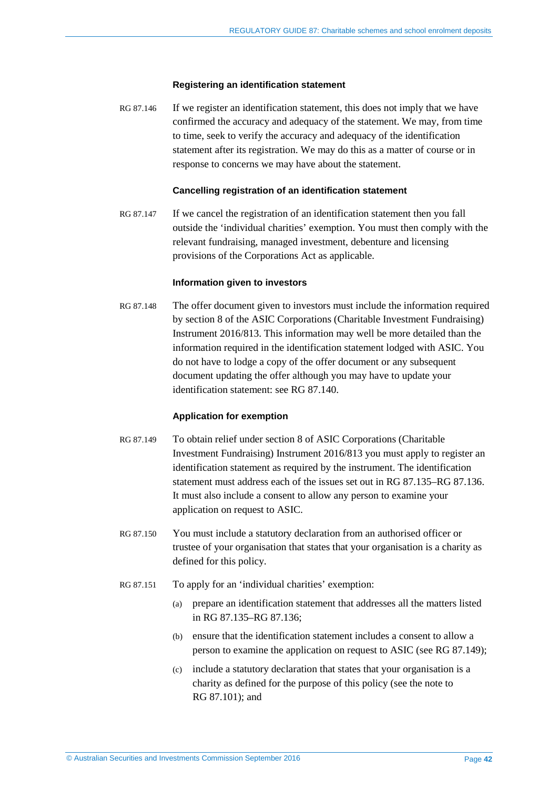#### **Registering an identification statement**

RG 87.146 If we register an identification statement, this does not imply that we have confirmed the accuracy and adequacy of the statement. We may, from time to time, seek to verify the accuracy and adequacy of the identification statement after its registration. We may do this as a matter of course or in response to concerns we may have about the statement.

#### **Cancelling registration of an identification statement**

RG 87.147 If we cancel the registration of an identification statement then you fall outside the 'individual charities' exemption. You must then comply with the relevant fundraising, managed investment, debenture and licensing provisions of the Corporations Act as applicable.

#### **Information given to investors**

RG 87.148 The offer document given to investors must include the information required by section 8 of the ASIC Corporations (Charitable Investment Fundraising) Instrument 2016/813. This information may well be more detailed than the information required in the identification statement lodged with ASIC. You do not have to lodge a copy of the offer document or any subsequent document updating the offer although you may have to update your identification statement: see [RG 87.140.](#page-39-0)

#### **Application for exemption**

- <span id="page-41-1"></span>RG 87.149 To obtain relief under section 8 of ASIC Corporations (Charitable Investment Fundraising) Instrument 2016/813 you must apply to register an identification statement as required by the instrument. The identification statement must address each of the issues set out in [RG 87.135–](#page-38-0)[RG 87.136.](#page-38-1) It must also include a consent to allow any person to examine your application on request to ASIC.
- RG 87.150 You must include a statutory declaration from an authorised officer or trustee of your organisation that states that your organisation is a charity as defined for this policy.
- <span id="page-41-0"></span>RG 87.151 To apply for an 'individual charities' exemption:
	- (a) prepare an identification statement that addresses all the matters listed in [RG 87.135](#page-38-0)[–RG 87.136;](#page-38-1)
	- (b) ensure that the identification statement includes a consent to allow a person to examine the application on request to ASIC (see [RG 87.149\)](#page-41-1);
	- (c) include a statutory declaration that states that your organisation is a charity as defined for the purpose of this policy (see the note to [RG 87.101\)](#page-29-2); and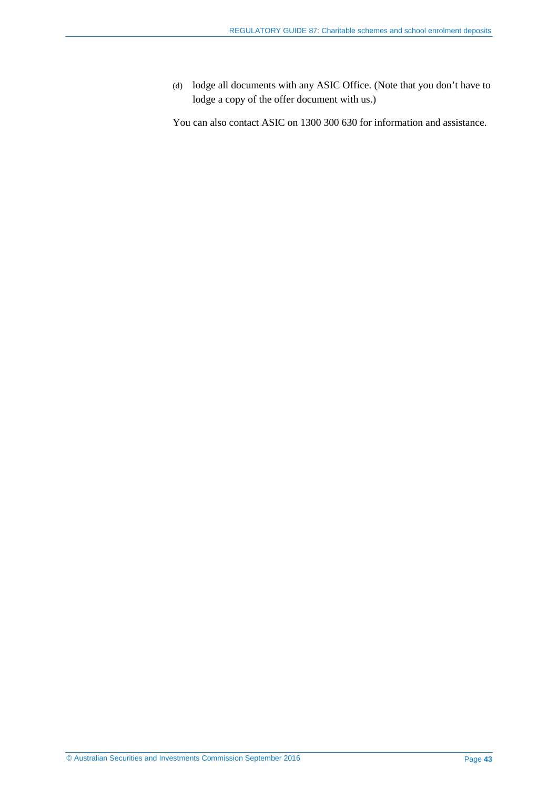(d) lodge all documents with any ASIC Office. (Note that you don't have to lodge a copy of the offer document with us.)

You can also contact ASIC on 1300 300 630 for information and assistance.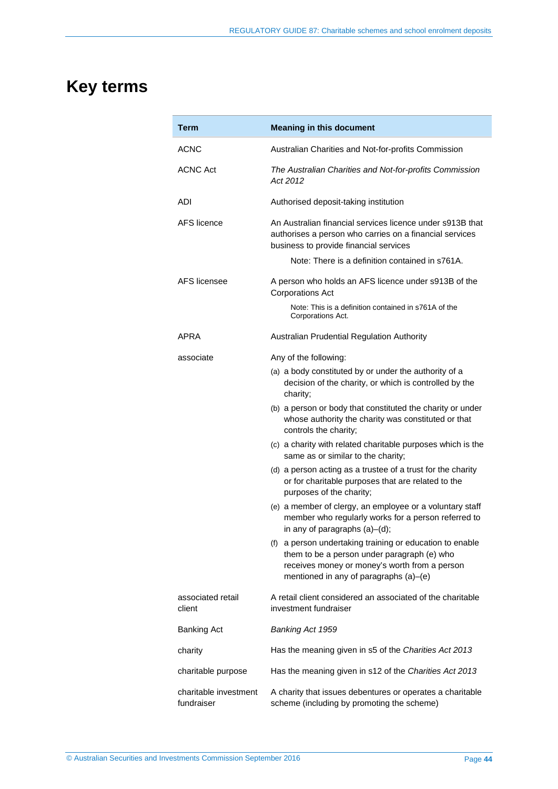# <span id="page-43-0"></span>**Key terms**

| Term                                | <b>Meaning in this document</b>                                                                                                                                                                    |
|-------------------------------------|----------------------------------------------------------------------------------------------------------------------------------------------------------------------------------------------------|
| ACNC                                | Australian Charities and Not-for-profits Commission                                                                                                                                                |
| <b>ACNC Act</b>                     | The Australian Charities and Not-for-profits Commission<br>Act 2012                                                                                                                                |
| ADI                                 | Authorised deposit-taking institution                                                                                                                                                              |
| AFS licence                         | An Australian financial services licence under s913B that<br>authorises a person who carries on a financial services<br>business to provide financial services                                     |
|                                     | Note: There is a definition contained in s761A.                                                                                                                                                    |
| AFS licensee                        | A person who holds an AFS licence under s913B of the<br><b>Corporations Act</b>                                                                                                                    |
|                                     | Note: This is a definition contained in s761A of the<br>Corporations Act.                                                                                                                          |
| APRA                                | Australian Prudential Regulation Authority                                                                                                                                                         |
| associate                           | Any of the following:                                                                                                                                                                              |
|                                     | (a) a body constituted by or under the authority of a<br>decision of the charity, or which is controlled by the<br>charity;                                                                        |
|                                     | (b) a person or body that constituted the charity or under<br>whose authority the charity was constituted or that<br>controls the charity;                                                         |
|                                     | (c) a charity with related charitable purposes which is the<br>same as or similar to the charity;                                                                                                  |
|                                     | (d) a person acting as a trustee of a trust for the charity<br>or for charitable purposes that are related to the<br>purposes of the charity;                                                      |
|                                     | (e) a member of clergy, an employee or a voluntary staff<br>member who regularly works for a person referred to<br>in any of paragraphs (a)-(d);                                                   |
|                                     | (f) a person undertaking training or education to enable<br>them to be a person under paragraph (e) who<br>receives money or money's worth from a person<br>mentioned in any of paragraphs (a)-(e) |
| associated retail<br>client         | A retail client considered an associated of the charitable<br>investment fundraiser                                                                                                                |
| <b>Banking Act</b>                  | Banking Act 1959                                                                                                                                                                                   |
| charity                             | Has the meaning given in s5 of the Charities Act 2013                                                                                                                                              |
| charitable purpose                  | Has the meaning given in s12 of the Charities Act 2013                                                                                                                                             |
| charitable investment<br>fundraiser | A charity that issues debentures or operates a charitable<br>scheme (including by promoting the scheme)                                                                                            |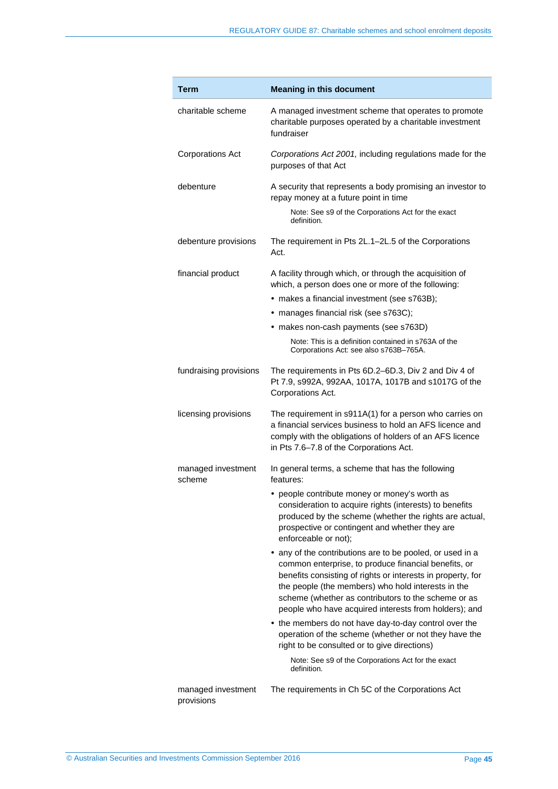| <b>Term</b>                      | <b>Meaning in this document</b>                                                                                                                                                                                                                                                                                                                        |
|----------------------------------|--------------------------------------------------------------------------------------------------------------------------------------------------------------------------------------------------------------------------------------------------------------------------------------------------------------------------------------------------------|
| charitable scheme                | A managed investment scheme that operates to promote<br>charitable purposes operated by a charitable investment<br>fundraiser                                                                                                                                                                                                                          |
| <b>Corporations Act</b>          | Corporations Act 2001, including regulations made for the<br>purposes of that Act                                                                                                                                                                                                                                                                      |
| debenture                        | A security that represents a body promising an investor to<br>repay money at a future point in time                                                                                                                                                                                                                                                    |
|                                  | Note: See s9 of the Corporations Act for the exact<br>definition.                                                                                                                                                                                                                                                                                      |
| debenture provisions             | The requirement in Pts 2L.1–2L.5 of the Corporations<br>Act.                                                                                                                                                                                                                                                                                           |
| financial product                | A facility through which, or through the acquisition of<br>which, a person does one or more of the following:                                                                                                                                                                                                                                          |
|                                  | • makes a financial investment (see s763B);                                                                                                                                                                                                                                                                                                            |
|                                  | • manages financial risk (see s763C);                                                                                                                                                                                                                                                                                                                  |
|                                  | • makes non-cash payments (see s763D)                                                                                                                                                                                                                                                                                                                  |
|                                  | Note: This is a definition contained in s763A of the<br>Corporations Act: see also s763B-765A.                                                                                                                                                                                                                                                         |
| fundraising provisions           | The requirements in Pts 6D.2-6D.3, Div 2 and Div 4 of<br>Pt 7.9, s992A, 992AA, 1017A, 1017B and s1017G of the<br>Corporations Act.                                                                                                                                                                                                                     |
| licensing provisions             | The requirement in s911A(1) for a person who carries on<br>a financial services business to hold an AFS licence and<br>comply with the obligations of holders of an AFS licence<br>in Pts 7.6-7.8 of the Corporations Act.                                                                                                                             |
| managed investment<br>scheme     | In general terms, a scheme that has the following<br>features:                                                                                                                                                                                                                                                                                         |
|                                  | • people contribute money or money's worth as<br>consideration to acquire rights (interests) to benefits<br>produced by the scheme (whether the rights are actual,<br>prospective or contingent and whether they are<br>enforceable or not);                                                                                                           |
|                                  | • any of the contributions are to be pooled, or used in a<br>common enterprise, to produce financial benefits, or<br>benefits consisting of rights or interests in property, for<br>the people (the members) who hold interests in the<br>scheme (whether as contributors to the scheme or as<br>people who have acquired interests from holders); and |
|                                  | • the members do not have day-to-day control over the<br>operation of the scheme (whether or not they have the<br>right to be consulted or to give directions)                                                                                                                                                                                         |
|                                  | Note: See s9 of the Corporations Act for the exact<br>definition.                                                                                                                                                                                                                                                                                      |
| managed investment<br>provisions | The requirements in Ch 5C of the Corporations Act                                                                                                                                                                                                                                                                                                      |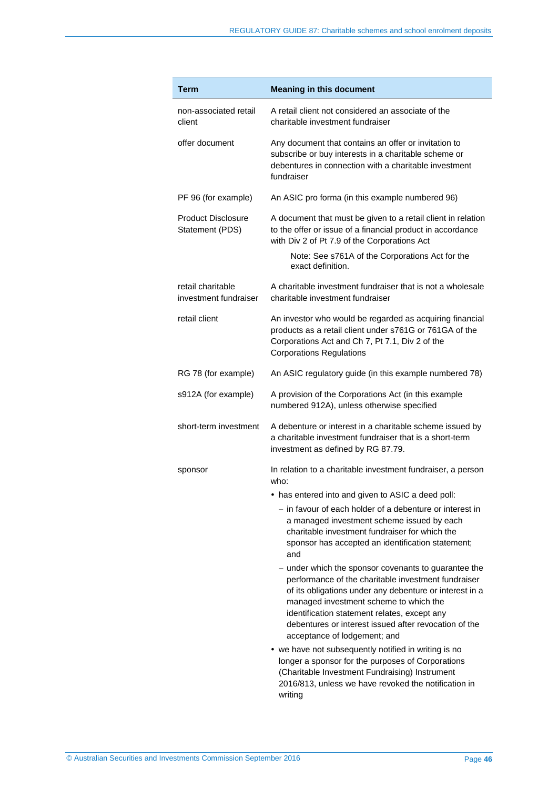| <b>Term</b>                                  | <b>Meaning in this document</b>                                                                                                                                                                                                                                                                                                                           |
|----------------------------------------------|-----------------------------------------------------------------------------------------------------------------------------------------------------------------------------------------------------------------------------------------------------------------------------------------------------------------------------------------------------------|
| non-associated retail<br>client              | A retail client not considered an associate of the<br>charitable investment fundraiser                                                                                                                                                                                                                                                                    |
| offer document                               | Any document that contains an offer or invitation to<br>subscribe or buy interests in a charitable scheme or<br>debentures in connection with a charitable investment<br>fundraiser                                                                                                                                                                       |
| PF 96 (for example)                          | An ASIC pro forma (in this example numbered 96)                                                                                                                                                                                                                                                                                                           |
| <b>Product Disclosure</b><br>Statement (PDS) | A document that must be given to a retail client in relation<br>to the offer or issue of a financial product in accordance<br>with Div 2 of Pt 7.9 of the Corporations Act                                                                                                                                                                                |
|                                              | Note: See s761A of the Corporations Act for the<br>exact definition.                                                                                                                                                                                                                                                                                      |
| retail charitable<br>investment fundraiser   | A charitable investment fundraiser that is not a wholesale<br>charitable investment fundraiser                                                                                                                                                                                                                                                            |
| retail client                                | An investor who would be regarded as acquiring financial<br>products as a retail client under s761G or 761GA of the<br>Corporations Act and Ch 7, Pt 7.1, Div 2 of the<br><b>Corporations Regulations</b>                                                                                                                                                 |
| RG 78 (for example)                          | An ASIC regulatory guide (in this example numbered 78)                                                                                                                                                                                                                                                                                                    |
| s912A (for example)                          | A provision of the Corporations Act (in this example<br>numbered 912A), unless otherwise specified                                                                                                                                                                                                                                                        |
| short-term investment                        | A debenture or interest in a charitable scheme issued by<br>a charitable investment fundraiser that is a short-term<br>investment as defined by RG 87.79.                                                                                                                                                                                                 |
| sponsor                                      | In relation to a charitable investment fundraiser, a person<br>who:                                                                                                                                                                                                                                                                                       |
|                                              | • has entered into and given to ASIC a deed poll:                                                                                                                                                                                                                                                                                                         |
|                                              | - in favour of each holder of a debenture or interest in<br>a managed investment scheme issued by each<br>charitable investment fundraiser for which the<br>sponsor has accepted an identification statement;<br>and                                                                                                                                      |
|                                              | - under which the sponsor covenants to guarantee the<br>performance of the charitable investment fundraiser<br>of its obligations under any debenture or interest in a<br>managed investment scheme to which the<br>identification statement relates, except any<br>debentures or interest issued after revocation of the<br>acceptance of lodgement; and |
|                                              | • we have not subsequently notified in writing is no<br>longer a sponsor for the purposes of Corporations<br>(Charitable Investment Fundraising) Instrument<br>2016/813, unless we have revoked the notification in<br>writing                                                                                                                            |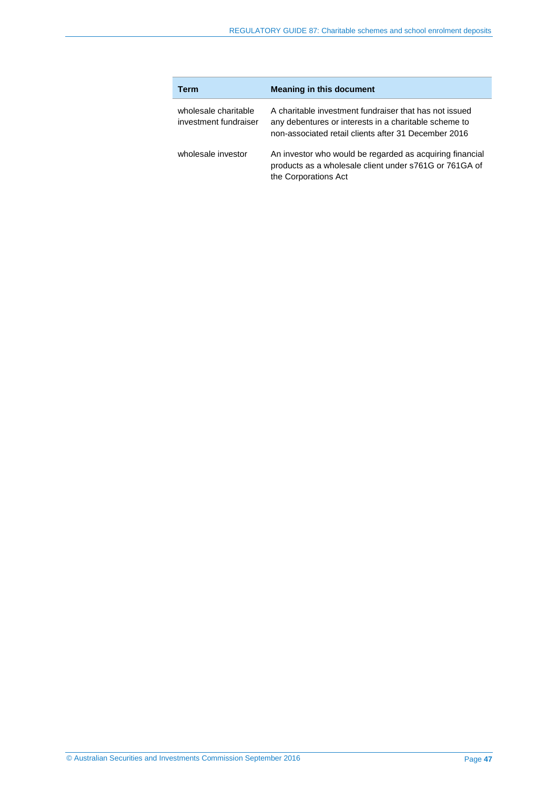| Term                                          | <b>Meaning in this document</b>                                                                                                                                         |
|-----------------------------------------------|-------------------------------------------------------------------------------------------------------------------------------------------------------------------------|
| wholesale charitable<br>investment fundraiser | A charitable investment fundraiser that has not issued<br>any debentures or interests in a charitable scheme to<br>non-associated retail clients after 31 December 2016 |
| wholesale investor                            | An investor who would be regarded as acquiring financial<br>products as a wholesale client under s761G or 761GA of<br>the Corporations Act                              |